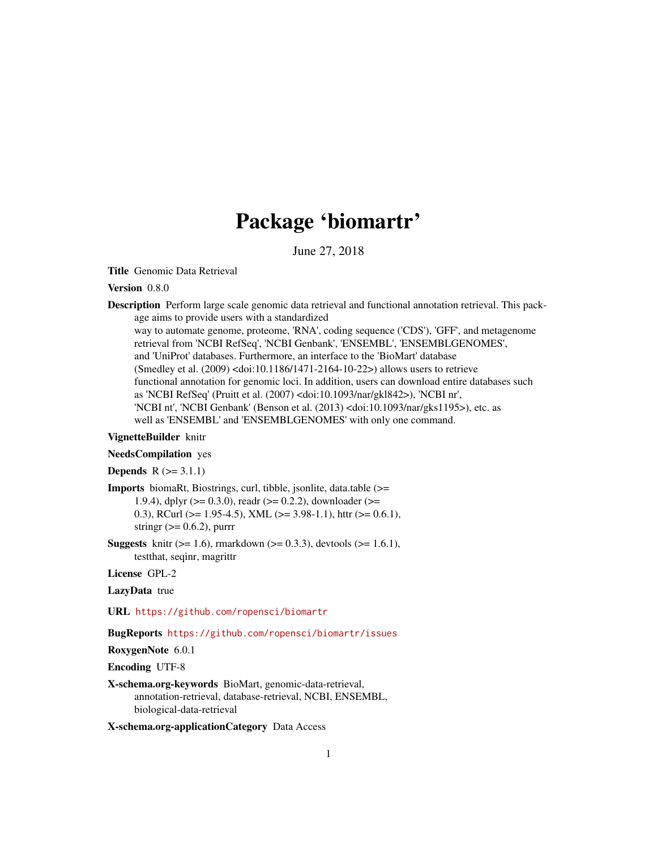# Package 'biomartr'

June 27, 2018

<span id="page-0-0"></span>Title Genomic Data Retrieval

# Version 0.8.0

Description Perform large scale genomic data retrieval and functional annotation retrieval. This package aims to provide users with a standardized way to automate genome, proteome, 'RNA', coding sequence ('CDS'), 'GFF', and metagenome retrieval from 'NCBI RefSeq', 'NCBI Genbank', 'ENSEMBL', 'ENSEMBLGENOMES', and 'UniProt' databases. Furthermore, an interface to the 'BioMart' database (Smedley et al. (2009) <doi:10.1186/1471-2164-10-22>) allows users to retrieve functional annotation for genomic loci. In addition, users can download entire databases such as 'NCBI RefSeq' (Pruitt et al. (2007) <doi:10.1093/nar/gkl842>), 'NCBI nr', 'NCBI nt', 'NCBI Genbank' (Benson et al. (2013) <doi:10.1093/nar/gks1195>), etc. as well as 'ENSEMBL' and 'ENSEMBLGENOMES' with only one command.

# VignetteBuilder knitr

# NeedsCompilation yes

**Depends**  $R$  ( $> = 3.1.1$ )

Imports biomaRt, Biostrings, curl, tibble, jsonlite, data.table (>= 1.9.4), dplyr (>= 0.3.0), readr (>= 0.2.2), downloader (>= 0.3), RCurl ( $> = 1.95-4.5$ ), XML ( $> = 3.98-1.1$ ), httr ( $> = 0.6.1$ ), stringr  $(>= 0.6.2)$ , purrr

**Suggests** knitr ( $>= 1.6$ ), rmarkdown ( $>= 0.3.3$ ), devtools ( $>= 1.6.1$ ), testthat, seqinr, magrittr

License GPL-2

LazyData true

URL <https://github.com/ropensci/biomartr>

BugReports <https://github.com/ropensci/biomartr/issues>

RoxygenNote 6.0.1

Encoding UTF-8

X-schema.org-keywords BioMart, genomic-data-retrieval, annotation-retrieval, database-retrieval, NCBI, ENSEMBL, biological-data-retrieval

X-schema.org-applicationCategory Data Access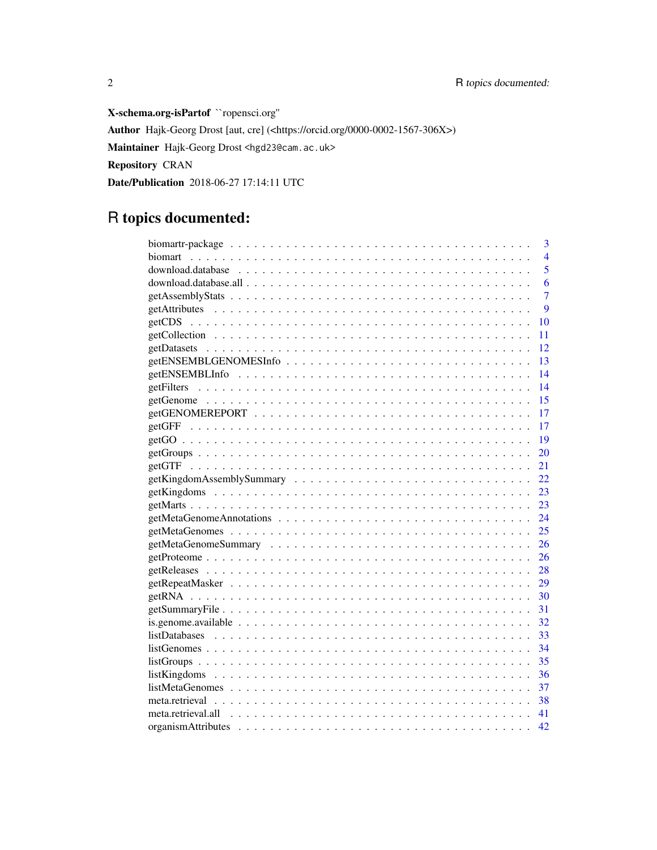X-schema.org-isPartof ``ropensci.org'' Author Hajk-Georg Drost [aut, cre] (<https://orcid.org/0000-0002-1567-306X>) Maintainer Hajk-Georg Drost <hgd23@cam.ac.uk> Repository CRAN Date/Publication 2018-06-27 17:14:11 UTC

# R topics documented:

| 3<br>$\overline{4}$<br>5<br>6<br>7<br>9<br>10<br>11<br>12<br>getENSEMBLGENOMESInfo<br>13<br>14<br>14<br>15<br>17<br>17<br>19<br>20<br>21<br>22<br>23<br>23<br>24<br>25<br>26<br>26<br>28 |
|------------------------------------------------------------------------------------------------------------------------------------------------------------------------------------------|
|                                                                                                                                                                                          |
|                                                                                                                                                                                          |
|                                                                                                                                                                                          |
|                                                                                                                                                                                          |
|                                                                                                                                                                                          |
|                                                                                                                                                                                          |
|                                                                                                                                                                                          |
|                                                                                                                                                                                          |
|                                                                                                                                                                                          |
|                                                                                                                                                                                          |
|                                                                                                                                                                                          |
|                                                                                                                                                                                          |
|                                                                                                                                                                                          |
|                                                                                                                                                                                          |
|                                                                                                                                                                                          |
|                                                                                                                                                                                          |
|                                                                                                                                                                                          |
|                                                                                                                                                                                          |
|                                                                                                                                                                                          |
|                                                                                                                                                                                          |
|                                                                                                                                                                                          |
|                                                                                                                                                                                          |
|                                                                                                                                                                                          |
|                                                                                                                                                                                          |
|                                                                                                                                                                                          |
|                                                                                                                                                                                          |
| 29                                                                                                                                                                                       |
| 30                                                                                                                                                                                       |
| 31                                                                                                                                                                                       |
| is.genome.available $\ldots \ldots \ldots \ldots \ldots \ldots \ldots \ldots \ldots \ldots \ldots \ldots \ldots$<br>32                                                                   |
| 33                                                                                                                                                                                       |
| 34                                                                                                                                                                                       |
| 35                                                                                                                                                                                       |
| 36                                                                                                                                                                                       |
| 37                                                                                                                                                                                       |
| -38                                                                                                                                                                                      |
| 41                                                                                                                                                                                       |
| 42                                                                                                                                                                                       |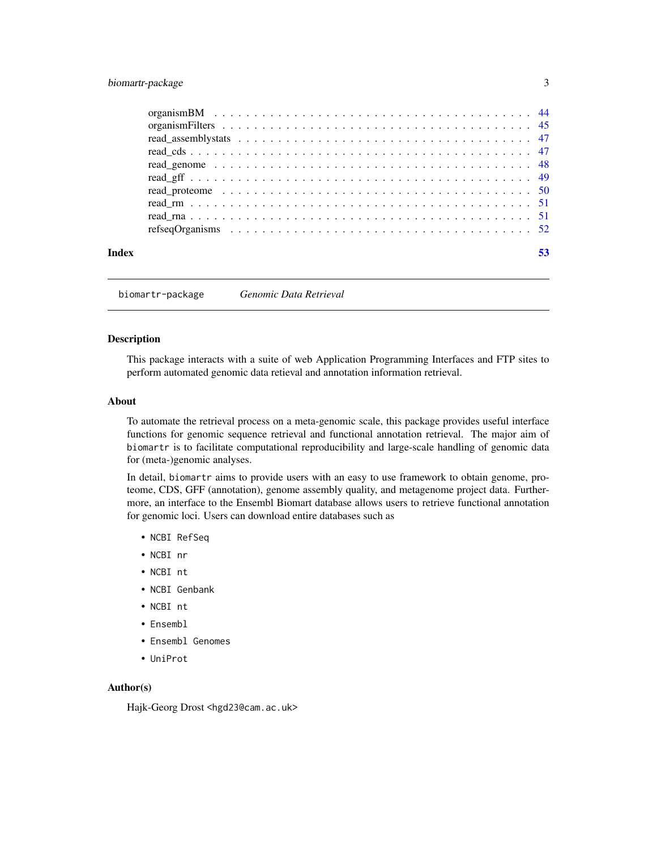# <span id="page-2-0"></span>biomartr-package 3

| Index |  |
|-------|--|

biomartr-package *Genomic Data Retrieval*

#### Description

This package interacts with a suite of web Application Programming Interfaces and FTP sites to perform automated genomic data retieval and annotation information retrieval.

#### About

To automate the retrieval process on a meta-genomic scale, this package provides useful interface functions for genomic sequence retrieval and functional annotation retrieval. The major aim of biomartr is to facilitate computational reproducibility and large-scale handling of genomic data for (meta-)genomic analyses.

In detail, biomartr aims to provide users with an easy to use framework to obtain genome, proteome, CDS, GFF (annotation), genome assembly quality, and metagenome project data. Furthermore, an interface to the Ensembl Biomart database allows users to retrieve functional annotation for genomic loci. Users can download entire databases such as

- NCBI RefSeq
- NCBI nr
- NCBI nt
- NCBI Genbank
- NCBI nt
- Ensembl
- Ensembl Genomes
- UniProt

#### Author(s)

Hajk-Georg Drost <hgd23@cam.ac.uk>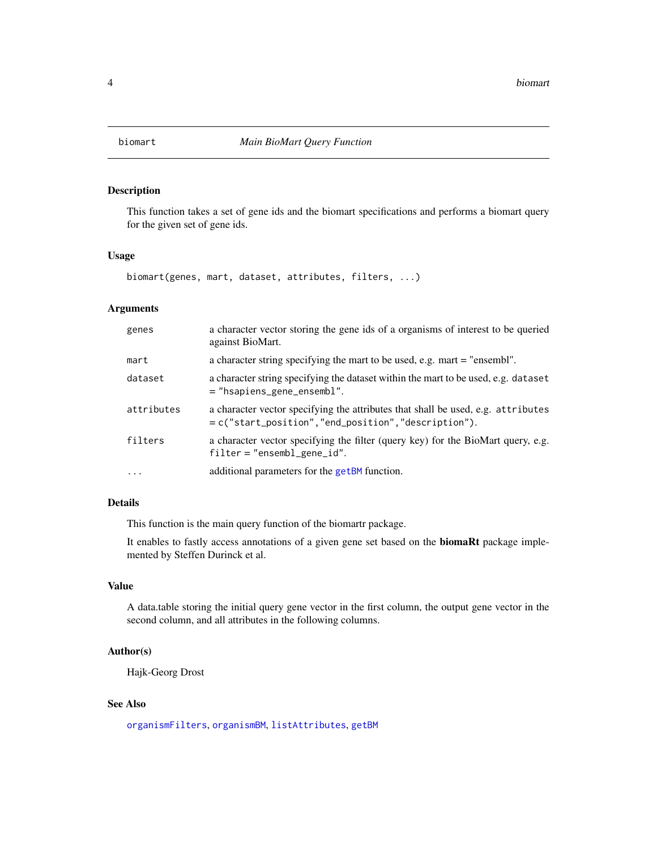<span id="page-3-1"></span><span id="page-3-0"></span>

This function takes a set of gene ids and the biomart specifications and performs a biomart query for the given set of gene ids.

# Usage

biomart(genes, mart, dataset, attributes, filters, ...)

# Arguments

| genes      | a character vector storing the gene ids of a organisms of interest to be queried<br>against BioMart.                                    |
|------------|-----------------------------------------------------------------------------------------------------------------------------------------|
| mart       | a character string specifying the mart to be used, e.g. mart = "ensembl".                                                               |
| dataset    | a character string specifying the dataset within the mart to be used, e.g. dataset<br>$=$ "hsapiens_gene_ensembl".                      |
| attributes | a character vector specifying the attributes that shall be used, e.g. attributes<br>= c("start_position","end_position","description"). |
| filters    | a character vector specifying the filter (query key) for the BioMart query, e.g.<br>$filter = "ensemble\_gene_id".$                     |
| $\cdot$    | additional parameters for the getBM function.                                                                                           |

# Details

This function is the main query function of the biomartr package.

It enables to fastly access annotations of a given gene set based on the biomaRt package implemented by Steffen Durinck et al.

# Value

A data.table storing the initial query gene vector in the first column, the output gene vector in the second column, and all attributes in the following columns.

# Author(s)

Hajk-Georg Drost

# See Also

[organismFilters](#page-44-1), [organismBM](#page-43-1), [listAttributes](#page-0-0), [getBM](#page-0-0)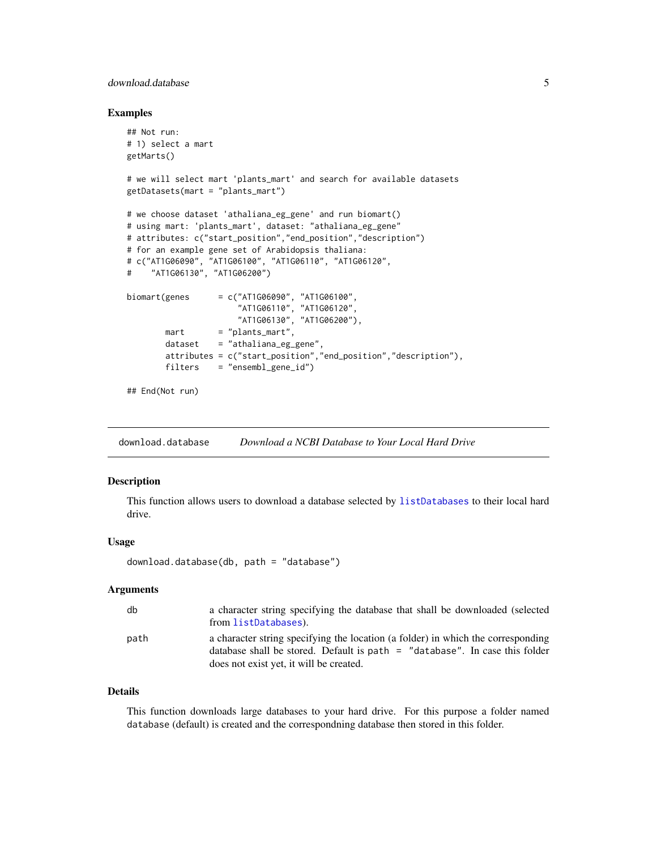# <span id="page-4-0"></span>download.database 5

#### Examples

```
## Not run:
# 1) select a mart
getMarts()
# we will select mart 'plants_mart' and search for available datasets
getDatasets(mart = "plants_mart")
# we choose dataset 'athaliana_eg_gene' and run biomart()
# using mart: 'plants_mart', dataset: "athaliana_eg_gene"
# attributes: c("start_position","end_position","description")
# for an example gene set of Arabidopsis thaliana:
# c("AT1G06090", "AT1G06100", "AT1G06110", "AT1G06120",
# "AT1G06130", "AT1G06200")
biomart(genes = c("AT1G06090", "AT1G06100","AT1G06110", "AT1G06120",
                      "AT1G06130", "AT1G06200"),
       mart = "plants_matrix",dataset = "athaliana_eg_gene",
       attributes = c("start_position","end_position","description"),
       filters = "ensembl_gene_id")
## End(Not run)
```
<span id="page-4-1"></span>download.database *Download a NCBI Database to Your Local Hard Drive*

# Description

This function allows users to download a database selected by [listDatabases](#page-32-1) to their local hard drive.

#### Usage

download.database(db, path = "database")

# Arguments

| db   | a character string specifying the database that shall be downloaded (selected<br>from listDatabases).                                                                                                        |
|------|--------------------------------------------------------------------------------------------------------------------------------------------------------------------------------------------------------------|
| path | a character string specifying the location (a folder) in which the corresponding<br>database shall be stored. Default is path $=$ "database". In case this folder<br>does not exist yet, it will be created. |

#### Details

This function downloads large databases to your hard drive. For this purpose a folder named database (default) is created and the correspondning database then stored in this folder.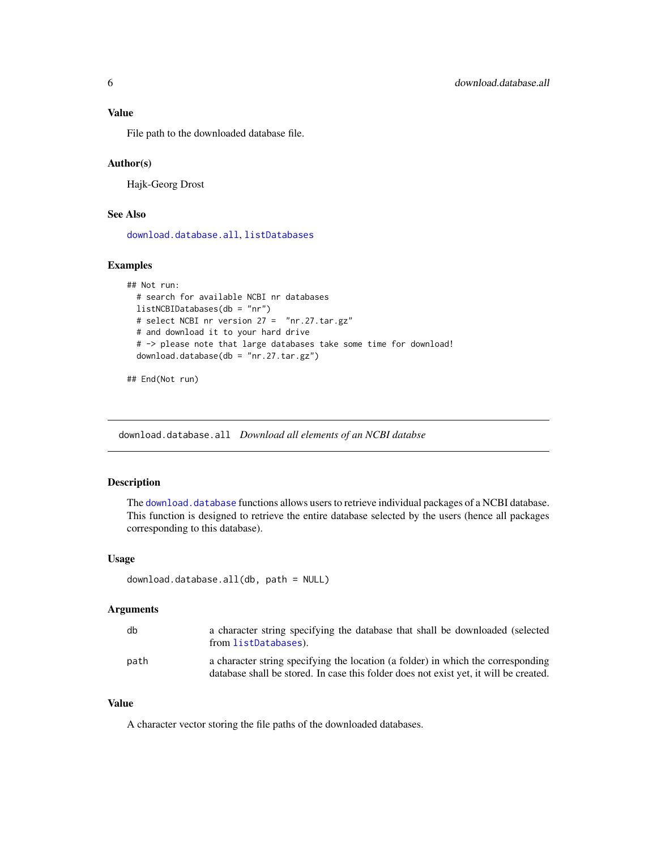# <span id="page-5-0"></span>Value

File path to the downloaded database file.

## Author(s)

Hajk-Georg Drost

# See Also

[download.database.all](#page-5-1), [listDatabases](#page-32-1)

# Examples

```
## Not run:
 # search for available NCBI nr databases
 listNCBIDatabases(db = "nr")
 # select NCBI nr version 27 = "nr.27.tar.gz"
 # and download it to your hard drive
 # -> please note that large databases take some time for download!
 download.database(db = "nr.27.tar.gz")
```

```
## End(Not run)
```
<span id="page-5-1"></span>download.database.all *Download all elements of an NCBI databse*

#### Description

The [download.database](#page-4-1) functions allows users to retrieve individual packages of a NCBI database. This function is designed to retrieve the entire database selected by the users (hence all packages corresponding to this database).

#### Usage

```
download.database.all(db, path = NULL)
```
#### Arguments

| db   | a character string specifying the database that shall be downloaded (selected<br>from listDatabases).                                                                     |
|------|---------------------------------------------------------------------------------------------------------------------------------------------------------------------------|
| path | a character string specifying the location (a folder) in which the corresponding<br>database shall be stored. In case this folder does not exist yet, it will be created. |

# Value

A character vector storing the file paths of the downloaded databases.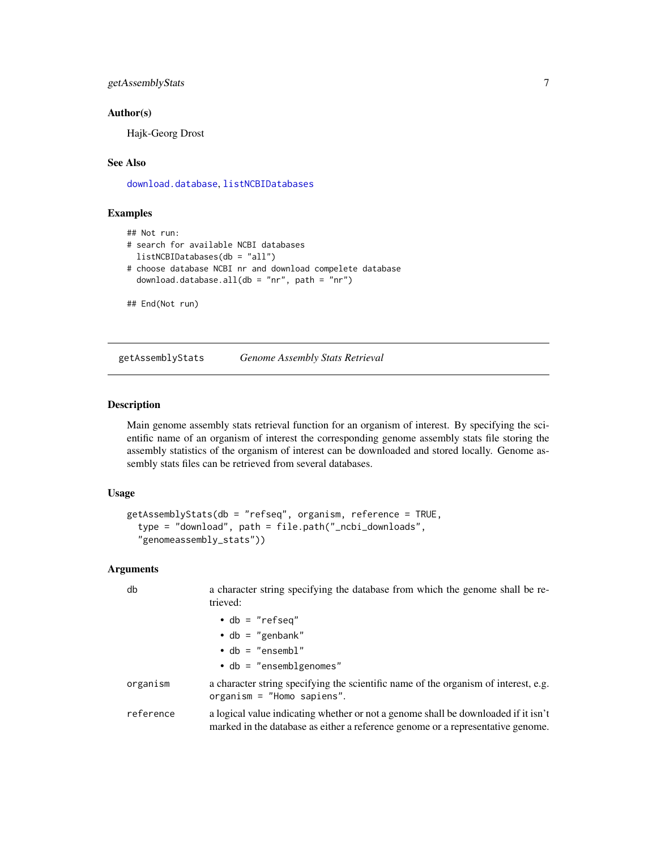# <span id="page-6-0"></span>getAssemblyStats 7

#### Author(s)

Hajk-Georg Drost

# See Also

[download.database](#page-4-1), [listNCBIDatabases](#page-32-2)

# Examples

```
## Not run:
# search for available NCBI databases
 listNCBIDatabases(db = "all")
# choose database NCBI nr and download compelete database
 download.database.all(db = "nr", path = "nr")## End(Not run)
```
<span id="page-6-1"></span>getAssemblyStats *Genome Assembly Stats Retrieval*

#### Description

Main genome assembly stats retrieval function for an organism of interest. By specifying the scientific name of an organism of interest the corresponding genome assembly stats file storing the assembly statistics of the organism of interest can be downloaded and stored locally. Genome assembly stats files can be retrieved from several databases.

#### Usage

```
getAssemblyStats(db = "refseq", organism, reference = TRUE,
  type = "download", path = file.path("_ncbi_downloads",
  "genomeassembly_stats"))
```

| db        | a character string specifying the database from which the genome shall be re-<br>trieved:                                                                             |
|-----------|-----------------------------------------------------------------------------------------------------------------------------------------------------------------------|
|           | $\bullet$ db = "refseq"                                                                                                                                               |
|           | $\cdot$ db = "genbank"                                                                                                                                                |
|           | $\cdot$ db = "ensembl"                                                                                                                                                |
|           | $\bullet$ db = "ensemblgenomes"                                                                                                                                       |
| organism  | a character string specifying the scientific name of the organism of interest, e.g.<br>organism = $"Home$ sapiens".                                                   |
| reference | a logical value indicating whether or not a genome shall be downloaded if it isn't<br>marked in the database as either a reference genome or a representative genome. |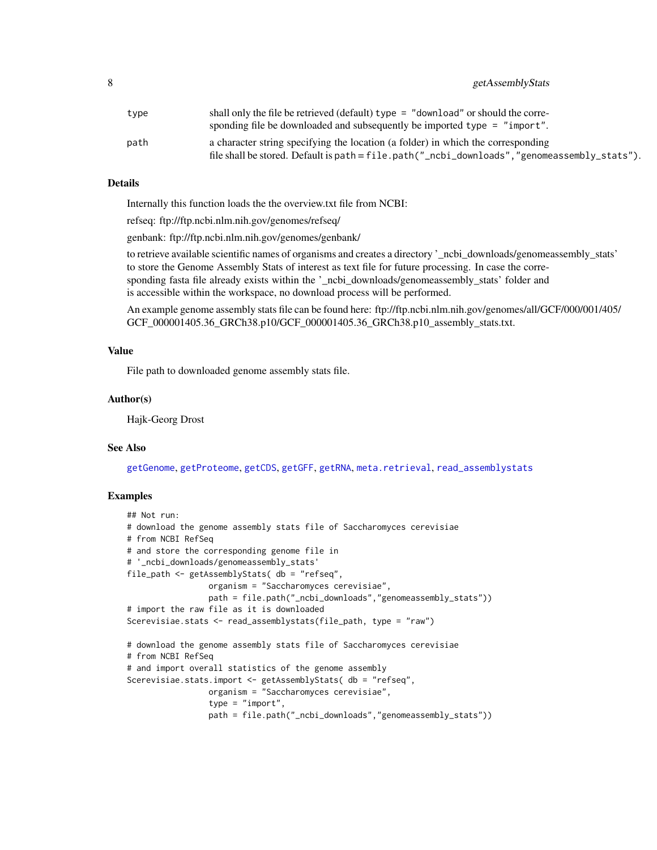<span id="page-7-0"></span>

| type | shall only the file be retrieved (default) type $=$ "download" or should the corre-             |
|------|-------------------------------------------------------------------------------------------------|
|      | sponding file be downloaded and subsequently be imported type = "import".                       |
| path | a character string specifying the location (a folder) in which the corresponding                |
|      | file shall be stored. Default is path = $file.path("_ncbi_downloads", 'genomeassembly_stats").$ |

#### Details

Internally this function loads the the overview.txt file from NCBI:

refseq: ftp://ftp.ncbi.nlm.nih.gov/genomes/refseq/

genbank: ftp://ftp.ncbi.nlm.nih.gov/genomes/genbank/

to retrieve available scientific names of organisms and creates a directory '\_ncbi\_downloads/genomeassembly\_stats' to store the Genome Assembly Stats of interest as text file for future processing. In case the corresponding fasta file already exists within the '\_ncbi\_downloads/genomeassembly\_stats' folder and is accessible within the workspace, no download process will be performed.

An example genome assembly stats file can be found here: ftp://ftp.ncbi.nlm.nih.gov/genomes/all/GCF/000/001/405/ GCF\_000001405.36\_GRCh38.p10/GCF\_000001405.36\_GRCh38.p10\_assembly\_stats.txt.

#### Value

File path to downloaded genome assembly stats file.

#### Author(s)

Hajk-Georg Drost

# See Also

[getGenome](#page-14-1), [getProteome](#page-25-1), [getCDS](#page-9-1), [getGFF](#page-16-1), [getRNA](#page-29-1), [meta.retrieval](#page-37-1), [read\\_assemblystats](#page-46-1)

#### Examples

```
## Not run:
# download the genome assembly stats file of Saccharomyces cerevisiae
# from NCBI RefSeq
# and store the corresponding genome file in
# '_ncbi_downloads/genomeassembly_stats'
file_path <- getAssemblyStats( db = "refseq",
                 organism = "Saccharomyces cerevisiae",
                 path = file.path("_ncbi_downloads","genomeassembly_stats"))
# import the raw file as it is downloaded
Scerevisiae.stats <- read_assemblystats(file_path, type = "raw")
# download the genome assembly stats file of Saccharomyces cerevisiae
# from NCBI RefSeq
# and import overall statistics of the genome assembly
Scerevisiae.stats.import <- getAssemblyStats( db = "refseq",
                 organism = "Saccharomyces cerevisiae",
                 type = "import",
                 path = file.path("_ncbi_downloads","genomeassembly_stats"))
```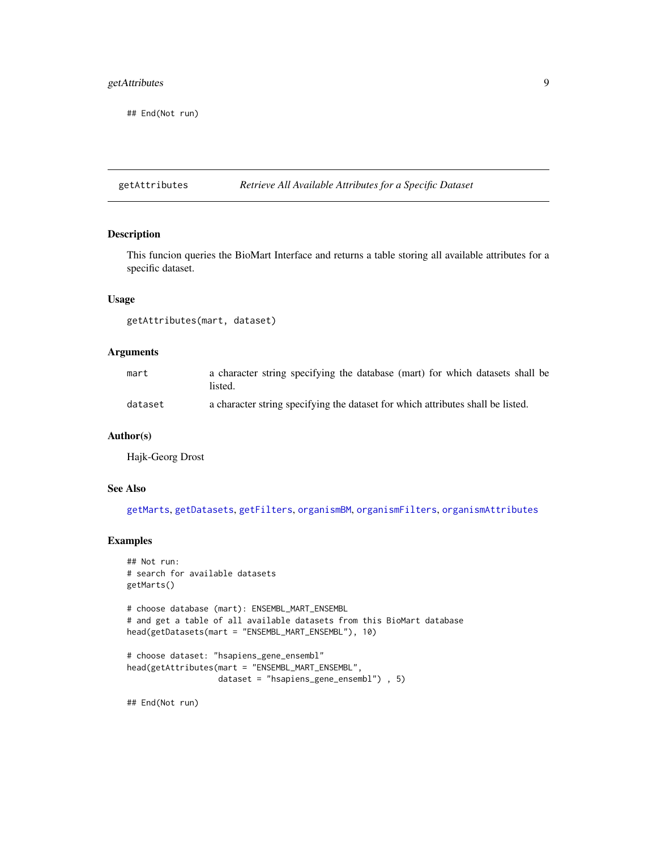# <span id="page-8-0"></span>getAttributes 9

## End(Not run)

<span id="page-8-1"></span>getAttributes *Retrieve All Available Attributes for a Specific Dataset*

# Description

This funcion queries the BioMart Interface and returns a table storing all available attributes for a specific dataset.

#### Usage

getAttributes(mart, dataset)

# Arguments

| mart    | a character string specifying the database (mart) for which datasets shall be<br>listed. |
|---------|------------------------------------------------------------------------------------------|
| dataset | a character string specifying the dataset for which attributes shall be listed.          |

### Author(s)

Hajk-Georg Drost

# See Also

[getMarts](#page-22-1), [getDatasets](#page-11-1), [getFilters](#page-13-1), [organismBM](#page-43-1), [organismFilters](#page-44-1), [organismAttributes](#page-41-1)

#### Examples

```
## Not run:
# search for available datasets
getMarts()
# choose database (mart): ENSEMBL_MART_ENSEMBL
# and get a table of all available datasets from this BioMart database
head(getDatasets(mart = "ENSEMBL_MART_ENSEMBL"), 10)
# choose dataset: "hsapiens_gene_ensembl"
head(getAttributes(mart = "ENSEMBL_MART_ENSEMBL",
                   dataset = "hsapiens_gene_ensembl") , 5)
```
## End(Not run)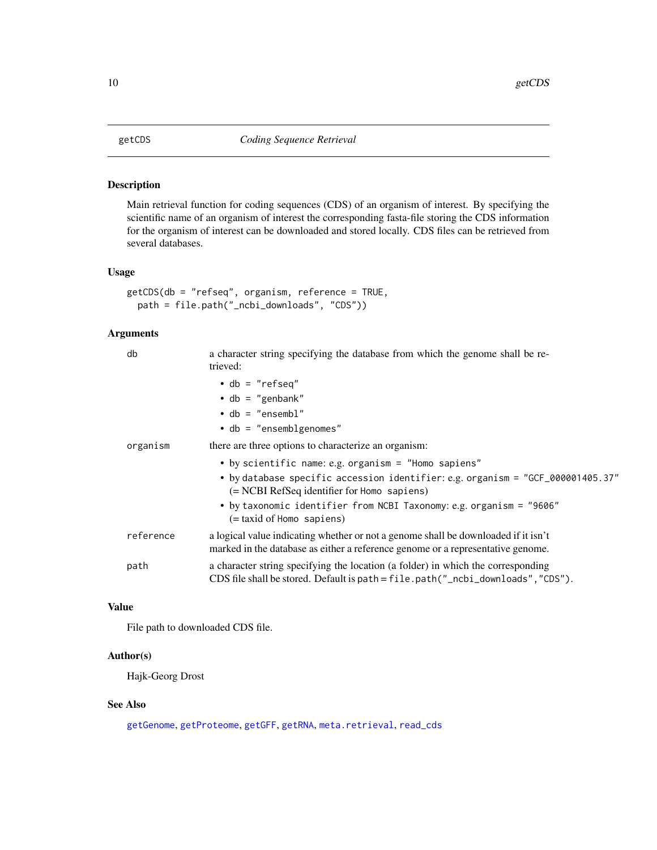<span id="page-9-1"></span><span id="page-9-0"></span>

Main retrieval function for coding sequences (CDS) of an organism of interest. By specifying the scientific name of an organism of interest the corresponding fasta-file storing the CDS information for the organism of interest can be downloaded and stored locally. CDS files can be retrieved from several databases.

# Usage

```
getCDS(db = "refseq", organism, reference = TRUE,
 path = file.path("_ncbi_downloads", "CDS"))
```
#### Arguments

| db        | a character string specifying the database from which the genome shall be re-<br>trieved:                                                                              |
|-----------|------------------------------------------------------------------------------------------------------------------------------------------------------------------------|
|           | $\bullet$ db = "refseq"                                                                                                                                                |
|           | $\cdot$ db = "genbank"                                                                                                                                                 |
|           | $\cdot$ db = "ensembl"                                                                                                                                                 |
|           | $\bullet$ db = "ensemblgenomes"                                                                                                                                        |
| organism  | there are three options to characterize an organism:                                                                                                                   |
|           | • by scientific name: e.g. organism = "Homo sapiens"                                                                                                                   |
|           | • by database specific accession identifier: e.g. organism = "GCF_000001405.37"<br>(= NCBI RefSeq identifier for Homo sapiens)                                         |
|           | • by taxonomic identifier from NCBI Taxonomy: e.g. organism = "9606"<br>(= taxid of Homo sapiens)                                                                      |
| reference | a logical value indicating whether or not a genome shall be downloaded if it isn't<br>marked in the database as either a reference genome or a representative genome.  |
| path      | a character string specifying the location (a folder) in which the corresponding<br>CDS file shall be stored. Default is path = $file.path("_nebi_downloads", "CDS").$ |

# Value

File path to downloaded CDS file.

# Author(s)

Hajk-Georg Drost

# See Also

[getGenome](#page-14-1), [getProteome](#page-25-1), [getGFF](#page-16-1), [getRNA](#page-29-1), [meta.retrieval](#page-37-1), [read\\_cds](#page-46-2)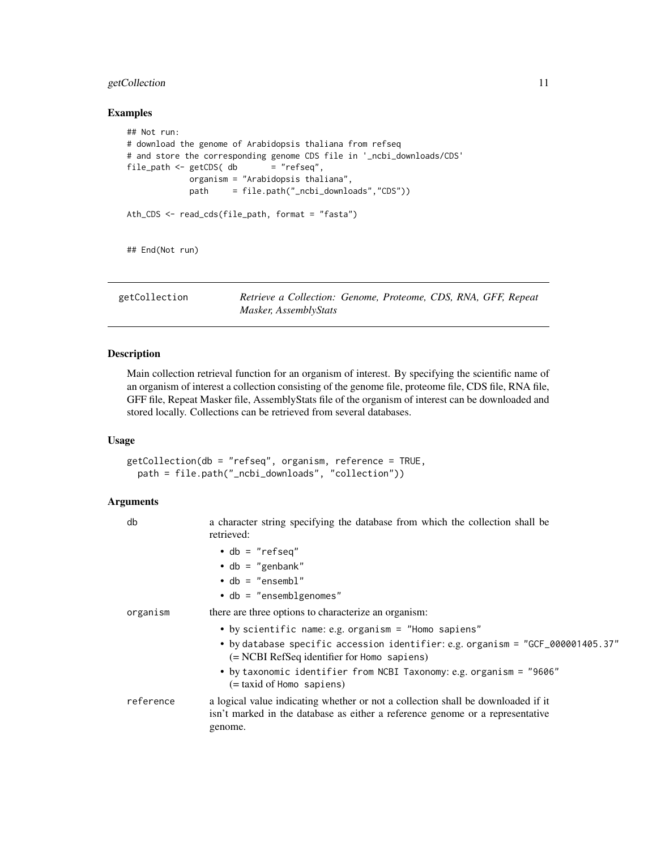# <span id="page-10-0"></span>getCollection 11

#### Examples

```
## Not run:
# download the genome of Arabidopsis thaliana from refseq
# and store the corresponding genome CDS file in '_ncbi_downloads/CDS'
file\_path \leq getCDS( db = "refseq",organism = "Arabidopsis thaliana",
            path = file.path("_ncbi_downloads","CDS"))
Ath_CDS <- read_cds(file_path, format = "fasta")
## End(Not run)
```
<span id="page-10-1"></span>getCollection *Retrieve a Collection: Genome, Proteome, CDS, RNA, GFF, Repeat Masker, AssemblyStats*

# Description

Main collection retrieval function for an organism of interest. By specifying the scientific name of an organism of interest a collection consisting of the genome file, proteome file, CDS file, RNA file, GFF file, Repeat Masker file, AssemblyStats file of the organism of interest can be downloaded and stored locally. Collections can be retrieved from several databases.

#### Usage

getCollection(db = "refseq", organism, reference = TRUE, path = file.path("\_ncbi\_downloads", "collection"))

| db        | a character string specifying the database from which the collection shall be<br>retrieved:                                                                                              |
|-----------|------------------------------------------------------------------------------------------------------------------------------------------------------------------------------------------|
|           | $\bullet$ db = "refseq"                                                                                                                                                                  |
|           | $\cdot$ db = "genbank"                                                                                                                                                                   |
|           | $\bullet$ db = "ensembl"                                                                                                                                                                 |
|           | $\bullet$ db = "ensemblgenomes"                                                                                                                                                          |
| organism  | there are three options to characterize an organism:                                                                                                                                     |
|           | • by scientific name: e.g. organism = "Homo sapiens"<br>• by database specific accession identifier: e.g. organism = "GCF_000001405.37"<br>$(= NCBI RefSeq$ identifier for Homo sapiens) |
|           | • by taxonomic identifier from NCBI Taxonomy: e.g. organism = "9606"<br>$(=$ taxid of Homo sapiens)                                                                                      |
| reference | a logical value indicating whether or not a collection shall be downloaded if it<br>isn't marked in the database as either a reference genome or a representative<br>genome.             |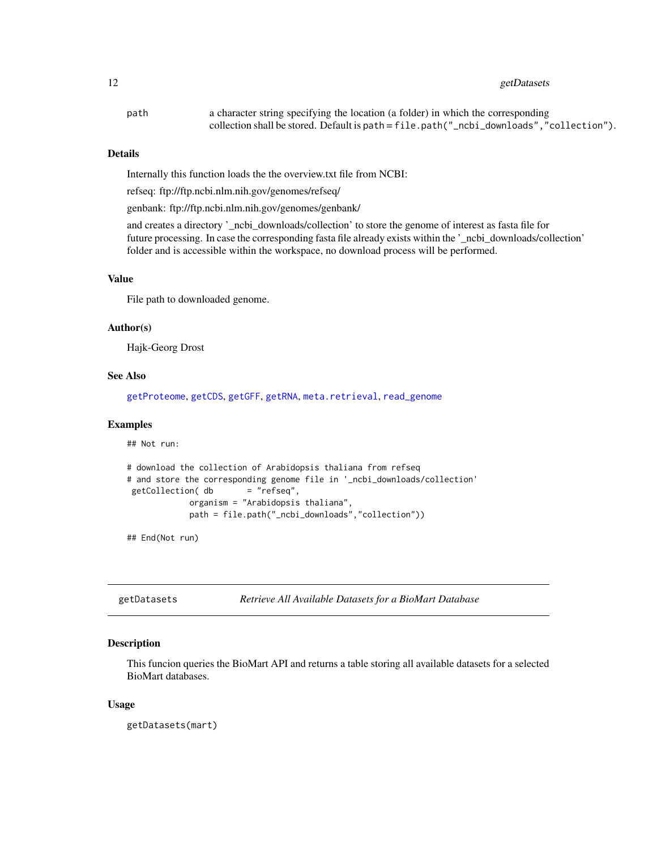# <span id="page-11-0"></span>12 getDatasets

| path | a character string specifying the location (a folder) in which the corresponding            |
|------|---------------------------------------------------------------------------------------------|
|      | collection shall be stored. Default is path = $file.path("noti_downloads", "collection")$ . |

#### Details

Internally this function loads the the overview.txt file from NCBI:

refseq: ftp://ftp.ncbi.nlm.nih.gov/genomes/refseq/

genbank: ftp://ftp.ncbi.nlm.nih.gov/genomes/genbank/

and creates a directory '\_ncbi\_downloads/collection' to store the genome of interest as fasta file for future processing. In case the corresponding fasta file already exists within the '\_ncbi\_downloads/collection' folder and is accessible within the workspace, no download process will be performed.

# Value

File path to downloaded genome.

#### Author(s)

Hajk-Georg Drost

#### See Also

[getProteome](#page-25-1), [getCDS](#page-9-1), [getGFF](#page-16-1), [getRNA](#page-29-1), [meta.retrieval](#page-37-1), [read\\_genome](#page-47-1)

#### Examples

## Not run:

```
# download the collection of Arabidopsis thaliana from refseq
# and store the corresponding genome file in '_ncbi_downloads/collection'
getCollection( db = "refseq",
            organism = "Arabidopsis thaliana",
            path = file.path("_ncbi_downloads","collection"))
```
## End(Not run)

<span id="page-11-1"></span>getDatasets *Retrieve All Available Datasets for a BioMart Database*

# Description

This funcion queries the BioMart API and returns a table storing all available datasets for a selected BioMart databases.

#### Usage

getDatasets(mart)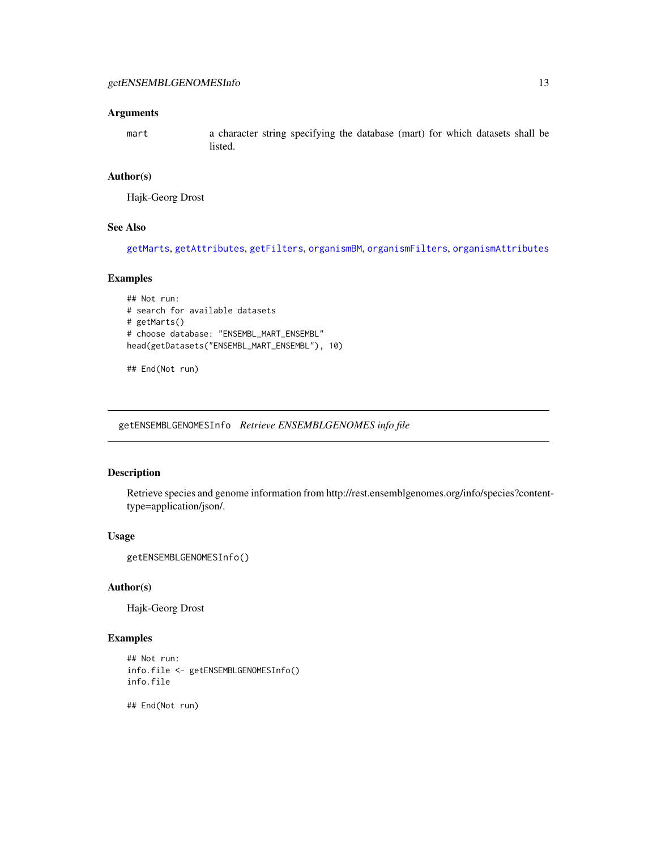#### <span id="page-12-0"></span>Arguments

mart a character string specifying the database (mart) for which datasets shall be listed.

# Author(s)

Hajk-Georg Drost

# See Also

[getMarts](#page-22-1), [getAttributes](#page-8-1), [getFilters](#page-13-1), [organismBM](#page-43-1), [organismFilters](#page-44-1), [organismAttributes](#page-41-1)

# Examples

```
## Not run:
# search for available datasets
# getMarts()
# choose database: "ENSEMBL_MART_ENSEMBL"
head(getDatasets("ENSEMBL_MART_ENSEMBL"), 10)
```

```
## End(Not run)
```
getENSEMBLGENOMESInfo *Retrieve ENSEMBLGENOMES info file*

# Description

Retrieve species and genome information from http://rest.ensemblgenomes.org/info/species?contenttype=application/json/.

# Usage

```
getENSEMBLGENOMESInfo()
```
# Author(s)

Hajk-Georg Drost

# Examples

```
## Not run:
info.file <- getENSEMBLGENOMESInfo()
info.file
```
## End(Not run)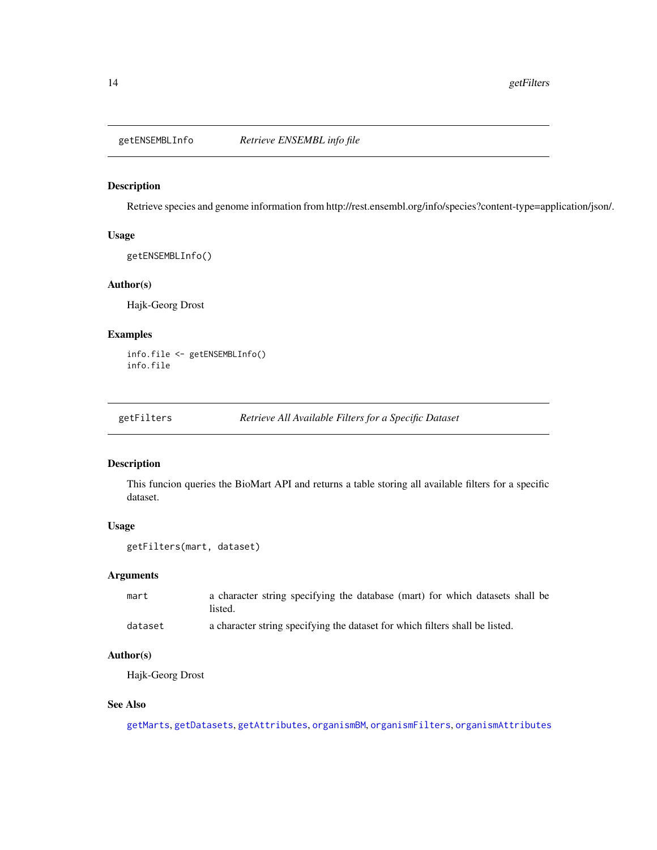<span id="page-13-0"></span>

Retrieve species and genome information from http://rest.ensembl.org/info/species?content-type=application/json/.

# Usage

getENSEMBLInfo()

# Author(s)

Hajk-Georg Drost

#### Examples

```
info.file <- getENSEMBLInfo()
info.file
```
<span id="page-13-1"></span>getFilters *Retrieve All Available Filters for a Specific Dataset*

## Description

This funcion queries the BioMart API and returns a table storing all available filters for a specific dataset.

# Usage

```
getFilters(mart, dataset)
```
# Arguments

| mart    | a character string specifying the database (mart) for which datasets shall be<br>listed. |
|---------|------------------------------------------------------------------------------------------|
| dataset | a character string specifying the dataset for which filters shall be listed.             |

# Author(s)

Hajk-Georg Drost

# See Also

[getMarts](#page-22-1), [getDatasets](#page-11-1), [getAttributes](#page-8-1), [organismBM](#page-43-1), [organismFilters](#page-44-1), [organismAttributes](#page-41-1)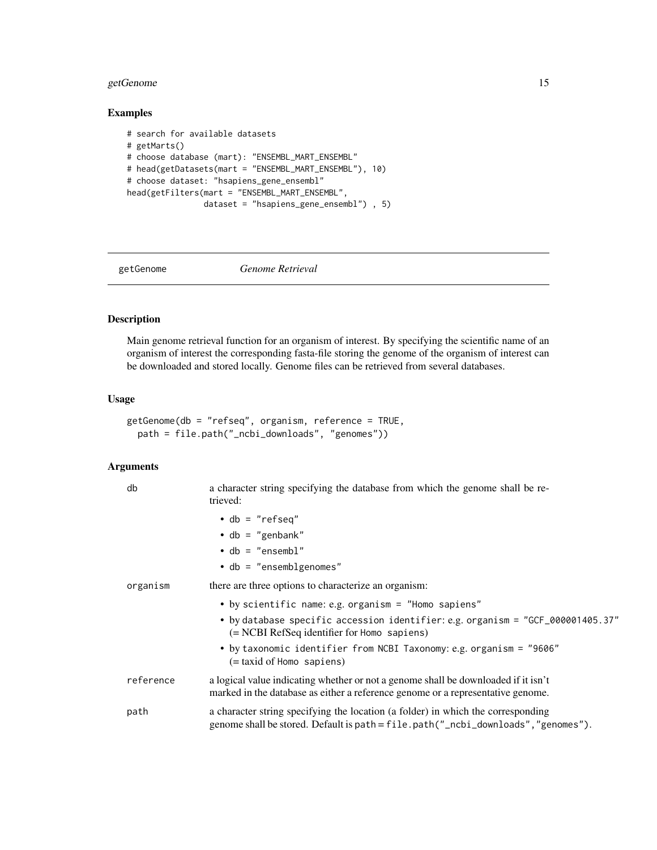# <span id="page-14-0"></span>getGenome 15

# Examples

```
# search for available datasets
# getMarts()
# choose database (mart): "ENSEMBL_MART_ENSEMBL"
# head(getDatasets(mart = "ENSEMBL_MART_ENSEMBL"), 10)
# choose dataset: "hsapiens_gene_ensembl"
head(getFilters(mart = "ENSEMBL_MART_ENSEMBL",
                dataset = "hsapiens_gene_ensembl") , 5)
```
<span id="page-14-1"></span>

getGenome *Genome Retrieval*

# Description

Main genome retrieval function for an organism of interest. By specifying the scientific name of an organism of interest the corresponding fasta-file storing the genome of the organism of interest can be downloaded and stored locally. Genome files can be retrieved from several databases.

#### Usage

```
getGenome(db = "refseq", organism, reference = TRUE,
 path = file.path("_ncbi_downloads", "genomes"))
```

| db        | a character string specifying the database from which the genome shall be re-<br>trieved:                                                                             |
|-----------|-----------------------------------------------------------------------------------------------------------------------------------------------------------------------|
|           | $\bullet$ db = "refseq"                                                                                                                                               |
|           | $\bullet$ db = "genbank"                                                                                                                                              |
|           | $\bullet$ db = "ensembl"                                                                                                                                              |
|           | $\bullet$ db = "ensemblgenomes"                                                                                                                                       |
| organism  | there are three options to characterize an organism:                                                                                                                  |
|           | • by scientific name: e.g. organism = "Homo sapiens"                                                                                                                  |
|           | • by database specific accession identifier: e.g. organism = "GCF_000001405.37"<br>$(= NCBI RefSeq$ identifier for Homo sapiens)                                      |
|           | • by taxonomic identifier from NCBI Taxonomy: e.g. organism = "9606"<br>(= taxid of Homo sapiens)                                                                     |
| reference | a logical value indicating whether or not a genome shall be downloaded if it isn't<br>marked in the database as either a reference genome or a representative genome. |
| path      | a character string specifying the location (a folder) in which the corresponding<br>genome shall be stored. Default is path = file.path("_ncbi_downloads","genomes"). |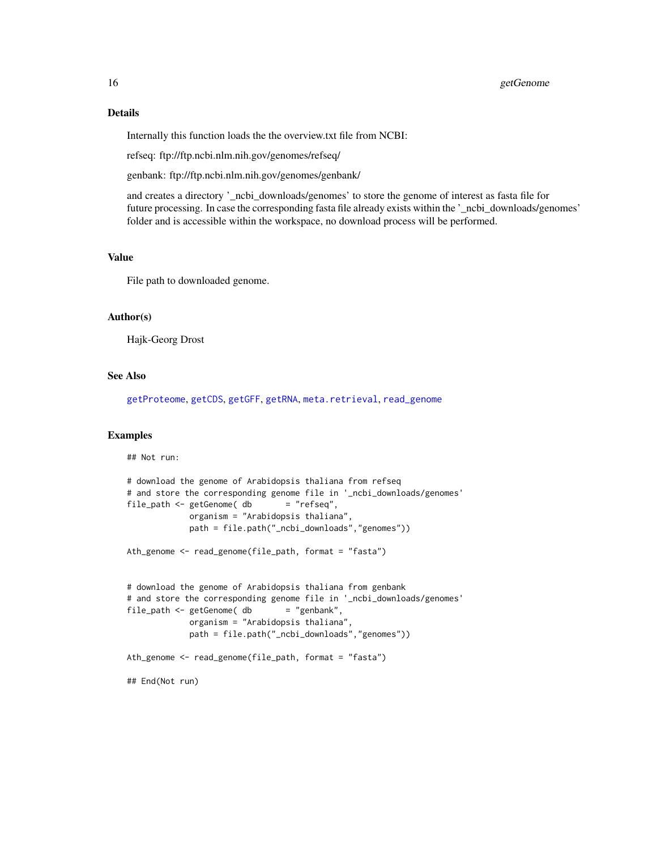#### Details

Internally this function loads the the overview.txt file from NCBI:

refseq: ftp://ftp.ncbi.nlm.nih.gov/genomes/refseq/

genbank: ftp://ftp.ncbi.nlm.nih.gov/genomes/genbank/

and creates a directory '\_ncbi\_downloads/genomes' to store the genome of interest as fasta file for future processing. In case the corresponding fasta file already exists within the '\_ncbi\_downloads/genomes' folder and is accessible within the workspace, no download process will be performed.

#### Value

File path to downloaded genome.

#### Author(s)

Hajk-Georg Drost

#### See Also

[getProteome](#page-25-1), [getCDS](#page-9-1), [getGFF](#page-16-1), [getRNA](#page-29-1), [meta.retrieval](#page-37-1), [read\\_genome](#page-47-1)

#### Examples

## Not run:

```
# download the genome of Arabidopsis thaliana from refseq
# and store the corresponding genome file in '_ncbi_downloads/genomes'
file_path <- getGenome( db = "refseq",
            organism = "Arabidopsis thaliana",
            path = file.path("_ncbi_downloads","genomes"))
Ath_genome <- read_genome(file_path, format = "fasta")
# download the genome of Arabidopsis thaliana from genbank
# and store the corresponding genome file in '_ncbi_downloads/genomes'
file\_path \leq getGenome( db = "genbank",organism = "Arabidopsis thaliana",
            path = file.path("_ncbi_downloads","genomes"))
Ath_genome <- read_genome(file_path, format = "fasta")
## End(Not run)
```
<span id="page-15-0"></span>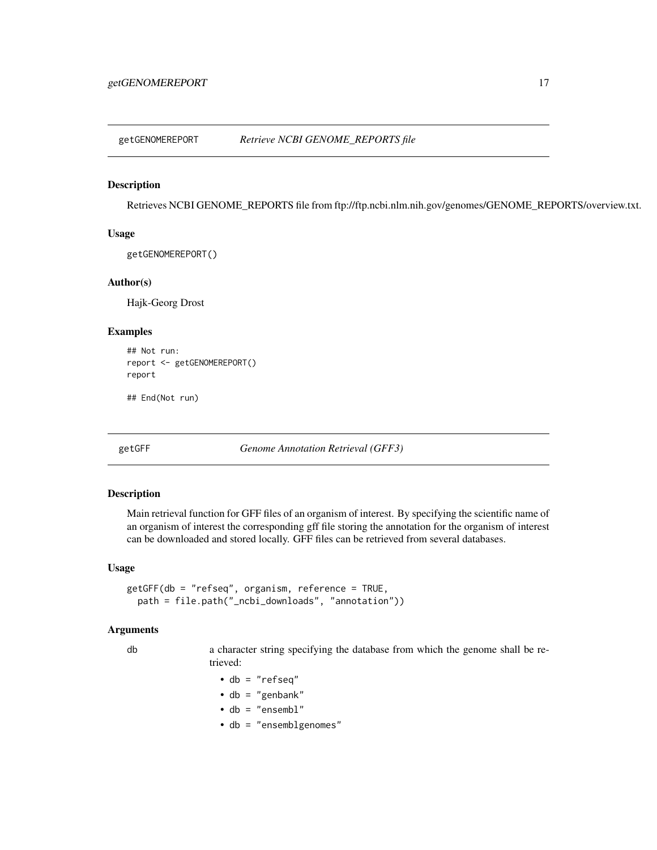<span id="page-16-0"></span>getGENOMEREPORT *Retrieve NCBI GENOME\_REPORTS file*

#### Description

Retrieves NCBI GENOME\_REPORTS file from ftp://ftp.ncbi.nlm.nih.gov/genomes/GENOME\_REPORTS/overview.txt.

#### Usage

getGENOMEREPORT()

# Author(s)

Hajk-Georg Drost

#### Examples

```
## Not run:
report <- getGENOMEREPORT()
report
```
## End(Not run)

<span id="page-16-1"></span>getGFF *Genome Annotation Retrieval (GFF3)*

#### Description

Main retrieval function for GFF files of an organism of interest. By specifying the scientific name of an organism of interest the corresponding gff file storing the annotation for the organism of interest can be downloaded and stored locally. GFF files can be retrieved from several databases.

#### Usage

```
getGFF(db = "refseq", organism, reference = TRUE,
 path = file.path("_ncbi_downloads", "annotation"))
```
#### Arguments

db a character string specifying the database from which the genome shall be retrieved:

- db = "refseq"
- $\cdot$  db = "genbank"
- db = "ensembl"
- db = "ensemblgenomes"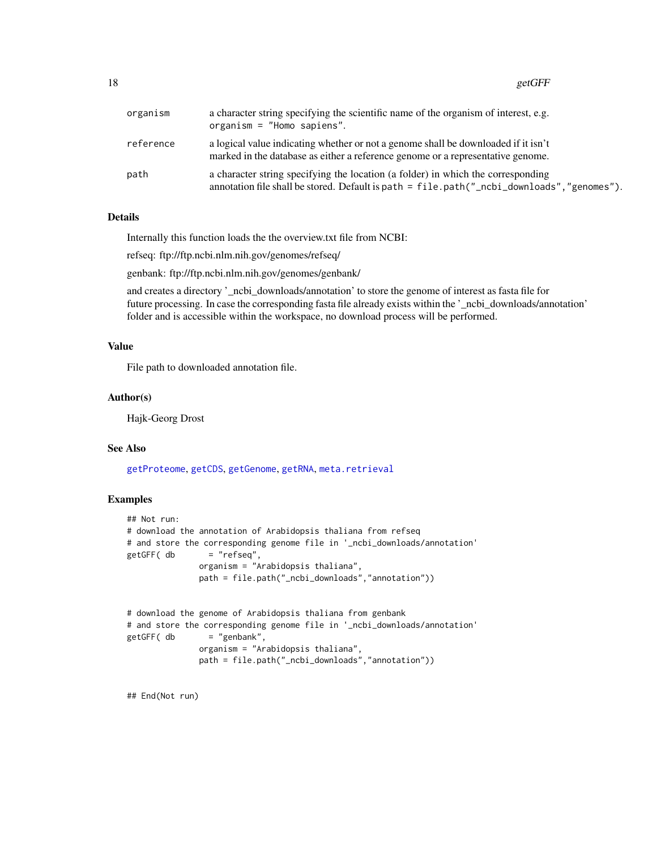<span id="page-17-0"></span>18 getGFF

| organism  | a character string specifying the scientific name of the organism of interest, e.g.<br>organism = $"Homeo$ sapiens".                                                           |
|-----------|--------------------------------------------------------------------------------------------------------------------------------------------------------------------------------|
| reference | a logical value indicating whether or not a genome shall be downloaded if it isn't<br>marked in the database as either a reference genome or a representative genome.          |
| path      | a character string specifying the location (a folder) in which the corresponding<br>annotation file shall be stored. Default is path = file.path("_ncbi_downloads","genomes"). |

## Details

Internally this function loads the the overview.txt file from NCBI:

refseq: ftp://ftp.ncbi.nlm.nih.gov/genomes/refseq/

genbank: ftp://ftp.ncbi.nlm.nih.gov/genomes/genbank/

and creates a directory '\_ncbi\_downloads/annotation' to store the genome of interest as fasta file for future processing. In case the corresponding fasta file already exists within the '\_ncbi\_downloads/annotation' folder and is accessible within the workspace, no download process will be performed.

# Value

File path to downloaded annotation file.

# Author(s)

Hajk-Georg Drost

# See Also

[getProteome](#page-25-1), [getCDS](#page-9-1), [getGenome](#page-14-1), [getRNA](#page-29-1), [meta.retrieval](#page-37-1)

#### Examples

```
## Not run:
# download the annotation of Arabidopsis thaliana from refseq
# and store the corresponding genome file in '_ncbi_downloads/annotation'
getGFF( db = "refseq",organism = "Arabidopsis thaliana",
              path = file.path("_ncbi_downloads","annotation"))
# download the genome of Arabidopsis thaliana from genbank
# and store the corresponding genome file in '_ncbi_downloads/annotation'
getGFF( db = "genbank",organism = "Arabidopsis thaliana",
              path = file.path("_ncbi_downloads","annotation"))
```
## End(Not run)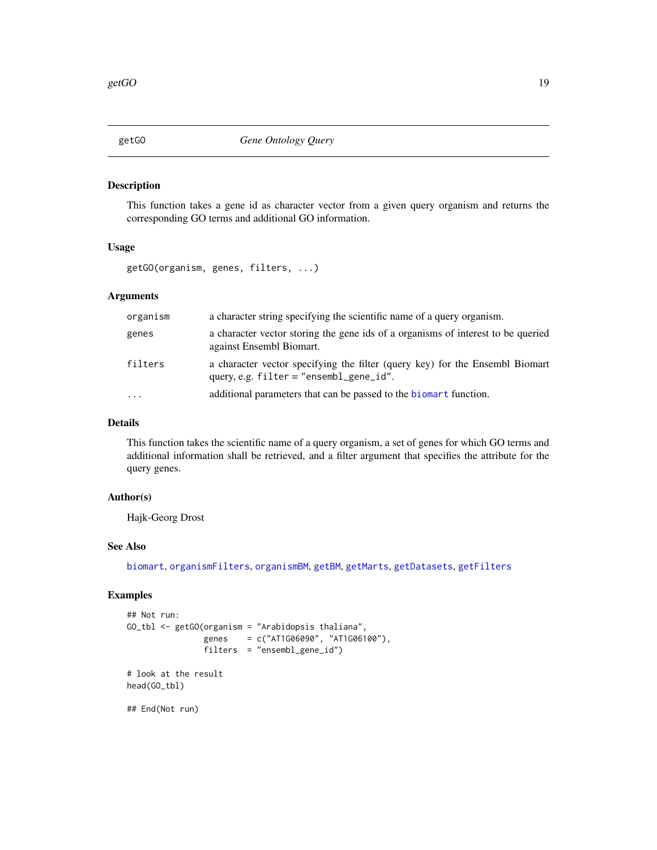This function takes a gene id as character vector from a given query organism and returns the corresponding GO terms and additional GO information.

# Usage

getGO(organism, genes, filters, ...)

# Arguments

| organism | a character string specifying the scientific name of a query organism.                                                      |
|----------|-----------------------------------------------------------------------------------------------------------------------------|
| genes    | a character vector storing the gene ids of a organisms of interest to be queried<br>against Ensembl Biomart.                |
| filters  | a character vector specifying the filter (query key) for the Ensembl Biomart<br>query, e.g. $filter = "ensemble\_gene_id".$ |
| .        | additional parameters that can be passed to the biomart function.                                                           |

#### Details

This function takes the scientific name of a query organism, a set of genes for which GO terms and additional information shall be retrieved, and a filter argument that specifies the attribute for the query genes.

# Author(s)

Hajk-Georg Drost

#### See Also

[biomart](#page-3-1), [organismFilters](#page-44-1), [organismBM](#page-43-1), [getBM](#page-0-0), [getMarts](#page-22-1), [getDatasets](#page-11-1), [getFilters](#page-13-1)

### Examples

```
## Not run:
GO_tbl \leq-getGO(organism = "Arabidopsis thaliana",genes = c("AT1G06090", "AT1G06100"),
               filters = "ensembl_gene_id")
# look at the result
head(GO_tbl)
## End(Not run)
```
<span id="page-18-0"></span>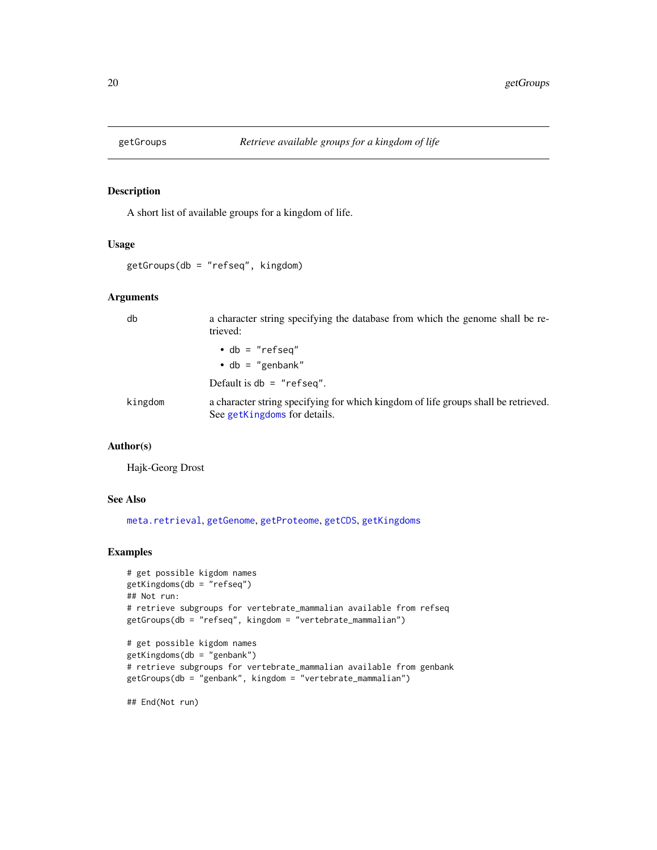<span id="page-19-1"></span><span id="page-19-0"></span>

A short list of available groups for a kingdom of life.

#### Usage

getGroups(db = "refseq", kingdom)

# Arguments

| db      | a character string specifying the database from which the genome shall be re-<br>trieved:                          |
|---------|--------------------------------------------------------------------------------------------------------------------|
|         | $\bullet$ db = "refseq"                                                                                            |
|         | $\cdot$ db = "genbank"                                                                                             |
|         | Default is $db = "refseq".$                                                                                        |
| kingdom | a character string specifying for which kingdom of life groups shall be retrieved.<br>See getKingdoms for details. |

# Author(s)

Hajk-Georg Drost

# See Also

[meta.retrieval](#page-37-1), [getGenome](#page-14-1), [getProteome](#page-25-1), [getCDS](#page-9-1), [getKingdoms](#page-22-2)

# Examples

```
# get possible kigdom names
getKingdoms(db = "refseq")
## Not run:
# retrieve subgroups for vertebrate_mammalian available from refseq
getGroups(db = "refseq", kingdom = "vertebrate_mammalian")
# get possible kigdom names
getKingdoms(db = "genbank")
# retrieve subgroups for vertebrate_mammalian available from genbank
getGroups(db = "genbank", kingdom = "vertebrate_mammalian")
```

```
## End(Not run)
```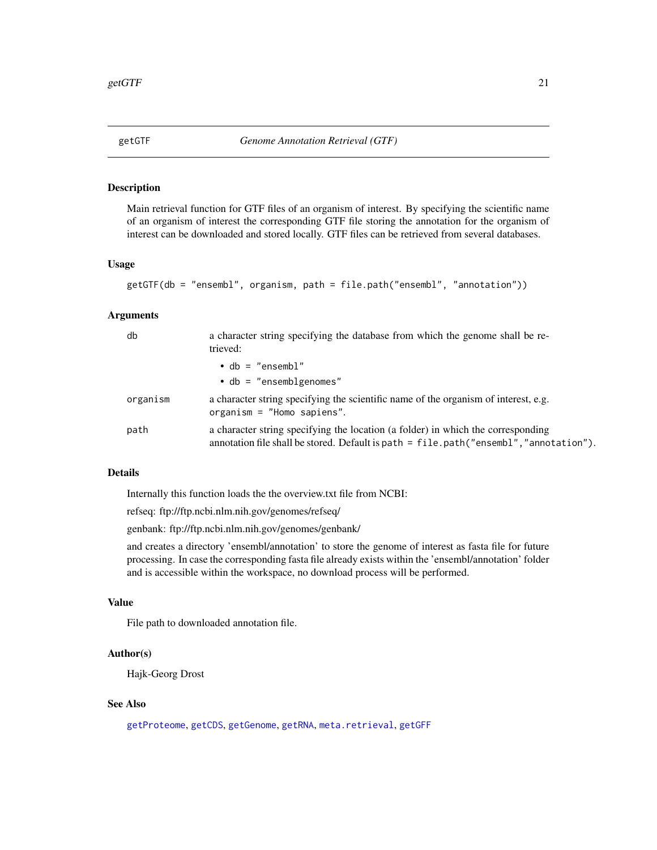<span id="page-20-1"></span><span id="page-20-0"></span>

Main retrieval function for GTF files of an organism of interest. By specifying the scientific name of an organism of interest the corresponding GTF file storing the annotation for the organism of interest can be downloaded and stored locally. GTF files can be retrieved from several databases.

# Usage

```
getGTF(db = "ensembl", organism, path = file.path("ensembl", "annotation"))
```
#### Arguments

| db       | a character string specifying the database from which the genome shall be re-<br>trieved:                                                                                     |
|----------|-------------------------------------------------------------------------------------------------------------------------------------------------------------------------------|
|          | $\bullet$ db = "ensembl"                                                                                                                                                      |
|          | $\bullet$ db = "ensemblgenomes"                                                                                                                                               |
| organism | a character string specifying the scientific name of the organism of interest, e.g.<br>organism = $"Home$ sapiens".                                                           |
| path     | a character string specifying the location (a folder) in which the corresponding<br>annotation file shall be stored. Default is path $=$ file.path ("ensembl", "annotation"). |

# Details

Internally this function loads the the overview.txt file from NCBI:

refseq: ftp://ftp.ncbi.nlm.nih.gov/genomes/refseq/

genbank: ftp://ftp.ncbi.nlm.nih.gov/genomes/genbank/

and creates a directory 'ensembl/annotation' to store the genome of interest as fasta file for future processing. In case the corresponding fasta file already exists within the 'ensembl/annotation' folder and is accessible within the workspace, no download process will be performed.

#### Value

File path to downloaded annotation file.

# Author(s)

Hajk-Georg Drost

# See Also

[getProteome](#page-25-1), [getCDS](#page-9-1), [getGenome](#page-14-1), [getRNA](#page-29-1), [meta.retrieval](#page-37-1), [getGFF](#page-16-1)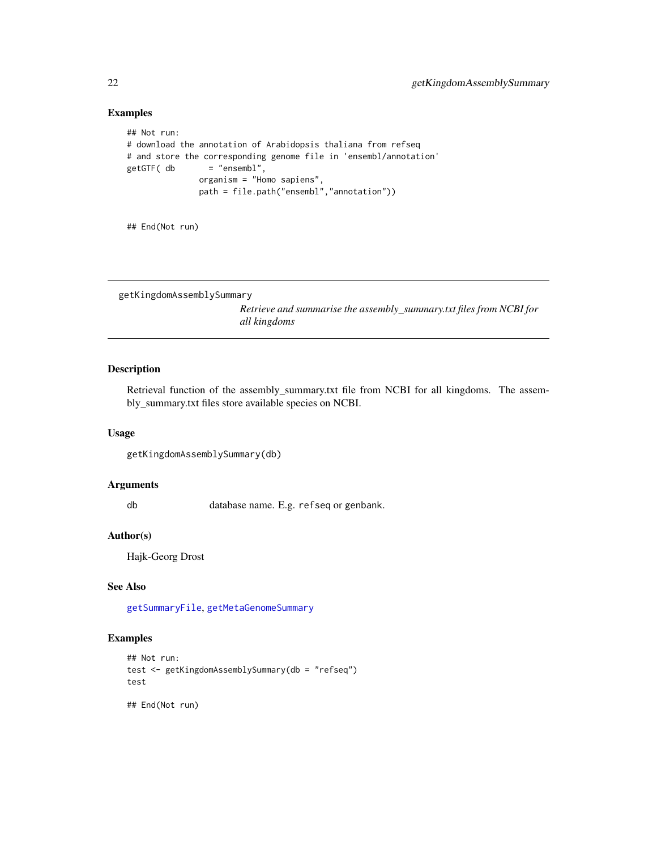# Examples

```
## Not run:
# download the annotation of Arabidopsis thaliana from refseq
# and store the corresponding genome file in 'ensembl/annotation'
getGTF( db = "ensembl",
              organism = "Homo sapiens",
              path = file.path("ensembl","annotation"))
```
## End(Not run)

```
getKingdomAssemblySummary
```
*Retrieve and summarise the assembly\_summary.txt files from NCBI for all kingdoms*

# Description

Retrieval function of the assembly\_summary.txt file from NCBI for all kingdoms. The assembly\_summary.txt files store available species on NCBI.

#### Usage

```
getKingdomAssemblySummary(db)
```
# Arguments

db database name. E.g. refseq or genbank.

#### Author(s)

Hajk-Georg Drost

# See Also

[getSummaryFile](#page-30-1), [getMetaGenomeSummary](#page-25-2)

# Examples

```
## Not run:
test <- getKingdomAssemblySummary(db = "refseq")
test
```
## End(Not run)

<span id="page-21-0"></span>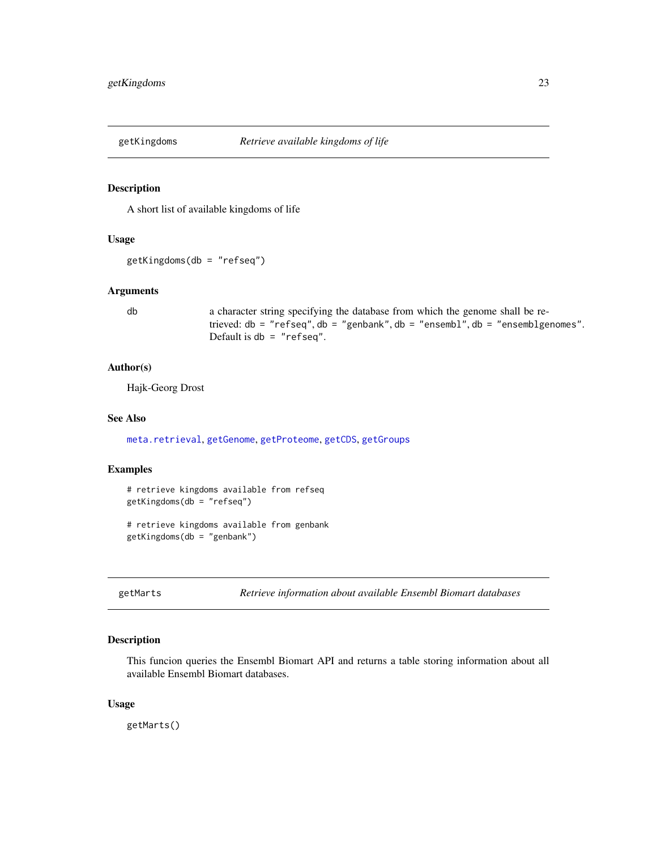<span id="page-22-2"></span><span id="page-22-0"></span>

A short list of available kingdoms of life

#### Usage

getKingdoms(db = "refseq")

# Arguments

db a character string specifying the database from which the genome shall be retrieved: db = "refseq", db = "genbank", db = "ensembl", db = "ensemblgenomes". Default is db = "refseq".

#### Author(s)

Hajk-Georg Drost

#### See Also

[meta.retrieval](#page-37-1), [getGenome](#page-14-1), [getProteome](#page-25-1), [getCDS](#page-9-1), [getGroups](#page-19-1)

#### Examples

```
# retrieve kingdoms available from refseq
getKingdoms(db = "refseq")
```

```
# retrieve kingdoms available from genbank
getKingdoms(db = "genbank")
```
<span id="page-22-1"></span>getMarts *Retrieve information about available Ensembl Biomart databases*

#### Description

This funcion queries the Ensembl Biomart API and returns a table storing information about all available Ensembl Biomart databases.

#### Usage

getMarts()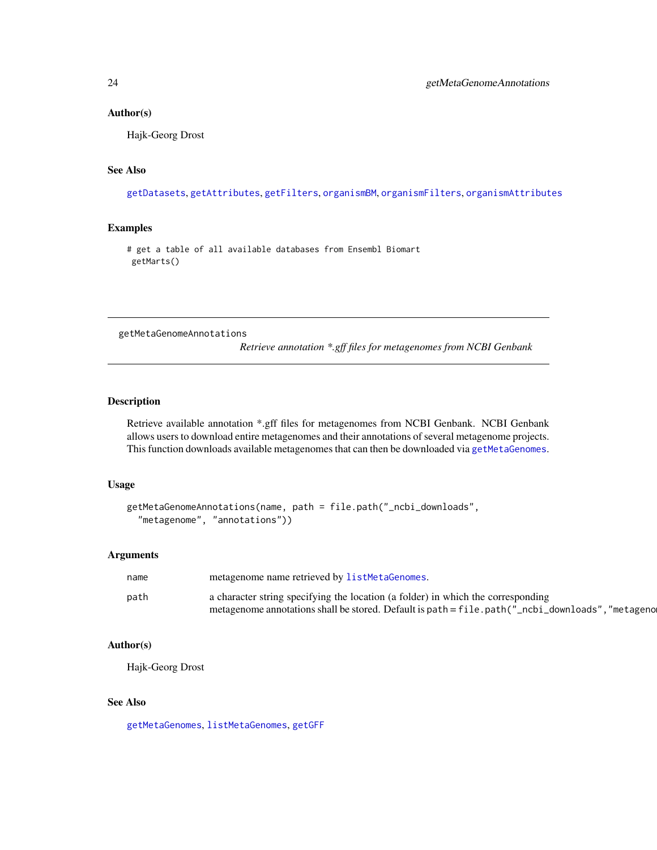#### <span id="page-23-0"></span>Author(s)

Hajk-Georg Drost

# See Also

[getDatasets](#page-11-1), [getAttributes](#page-8-1), [getFilters](#page-13-1), [organismBM](#page-43-1), [organismFilters](#page-44-1), [organismAttributes](#page-41-1)

#### Examples

# get a table of all available databases from Ensembl Biomart getMarts()

<span id="page-23-1"></span>getMetaGenomeAnnotations

*Retrieve annotation \*.gff files for metagenomes from NCBI Genbank*

# Description

Retrieve available annotation \*.gff files for metagenomes from NCBI Genbank. NCBI Genbank allows users to download entire metagenomes and their annotations of several metagenome projects. This function downloads available metagenomes that can then be downloaded via [getMetaGenomes](#page-24-1).

#### Usage

```
getMetaGenomeAnnotations(name, path = file.path("_ncbi_downloads",
  "metagenome", "annotations"))
```
#### Arguments

| name | metagenome name retrieved by listMetaGenomes.                                                    |
|------|--------------------------------------------------------------------------------------------------|
| path | a character string specifying the location (a folder) in which the corresponding                 |
|      | metagenome annotations shall be stored. Default is path = file.path("_ncbi_downloads", "metageno |

# Author(s)

Hajk-Georg Drost

# See Also

[getMetaGenomes](#page-24-1), [listMetaGenomes](#page-36-1), [getGFF](#page-16-1)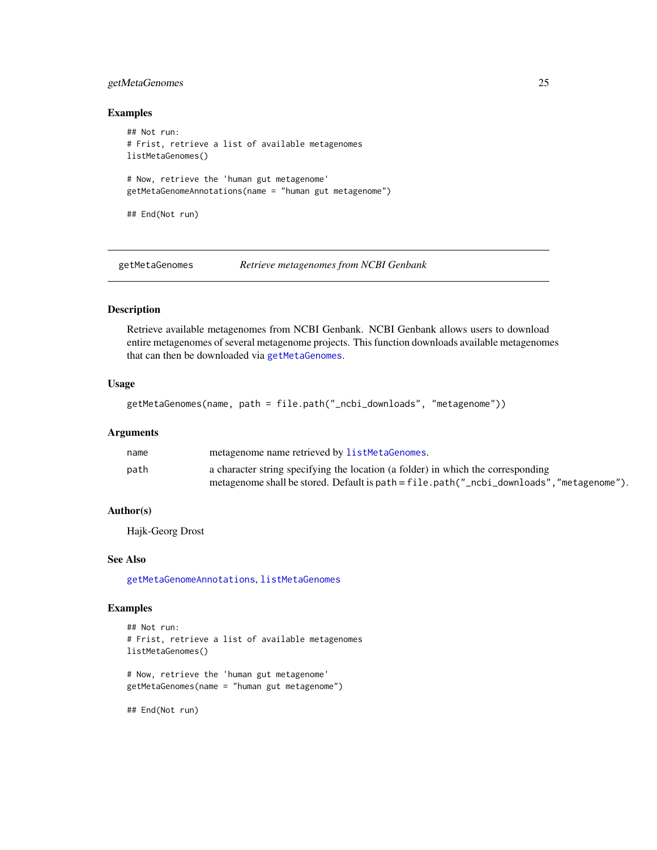# <span id="page-24-0"></span>getMetaGenomes 25

#### Examples

```
## Not run:
# Frist, retrieve a list of available metagenomes
listMetaGenomes()
# Now, retrieve the 'human gut metagenome'
getMetaGenomeAnnotations(name = "human gut metagenome")
## End(Not run)
```
<span id="page-24-1"></span>getMetaGenomes *Retrieve metagenomes from NCBI Genbank*

### Description

Retrieve available metagenomes from NCBI Genbank. NCBI Genbank allows users to download entire metagenomes of several metagenome projects. This function downloads available metagenomes that can then be downloaded via [getMetaGenomes](#page-24-1).

# Usage

```
getMetaGenomes(name, path = file.path("_ncbi_downloads", "metagenome"))
```
#### Arguments

| name | metagenome name retrieved by listMetaGenomes.                                            |
|------|------------------------------------------------------------------------------------------|
| path | a character string specifying the location (a folder) in which the corresponding         |
|      | metagenome shall be stored. Default is path = file.path("_ncbi_downloads","metagenome"). |

#### Author(s)

Hajk-Georg Drost

#### See Also

[getMetaGenomeAnnotations](#page-23-1), [listMetaGenomes](#page-36-1)

# Examples

```
## Not run:
# Frist, retrieve a list of available metagenomes
listMetaGenomes()
# Now, retrieve the 'human gut metagenome'
```
getMetaGenomes(name = "human gut metagenome")

## End(Not run)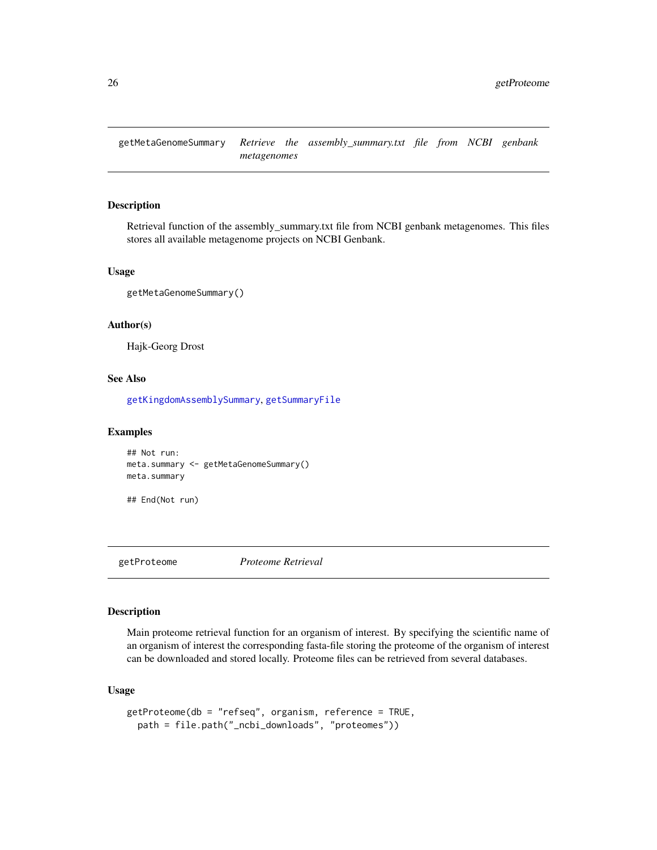<span id="page-25-2"></span><span id="page-25-0"></span>getMetaGenomeSummary *Retrieve the assembly\_summary.txt file from NCBI genbank metagenomes*

#### Description

Retrieval function of the assembly\_summary.txt file from NCBI genbank metagenomes. This files stores all available metagenome projects on NCBI Genbank.

#### Usage

getMetaGenomeSummary()

# Author(s)

Hajk-Georg Drost

#### See Also

[getKingdomAssemblySummary](#page-21-1), [getSummaryFile](#page-30-1)

#### Examples

```
## Not run:
meta.summary <- getMetaGenomeSummary()
meta.summary
```
## End(Not run)

<span id="page-25-1"></span>getProteome *Proteome Retrieval*

#### Description

Main proteome retrieval function for an organism of interest. By specifying the scientific name of an organism of interest the corresponding fasta-file storing the proteome of the organism of interest can be downloaded and stored locally. Proteome files can be retrieved from several databases.

# Usage

```
getProteome(db = "refseq", organism, reference = TRUE,
  path = file.path("_ncbi_downloads", "proteomes"))
```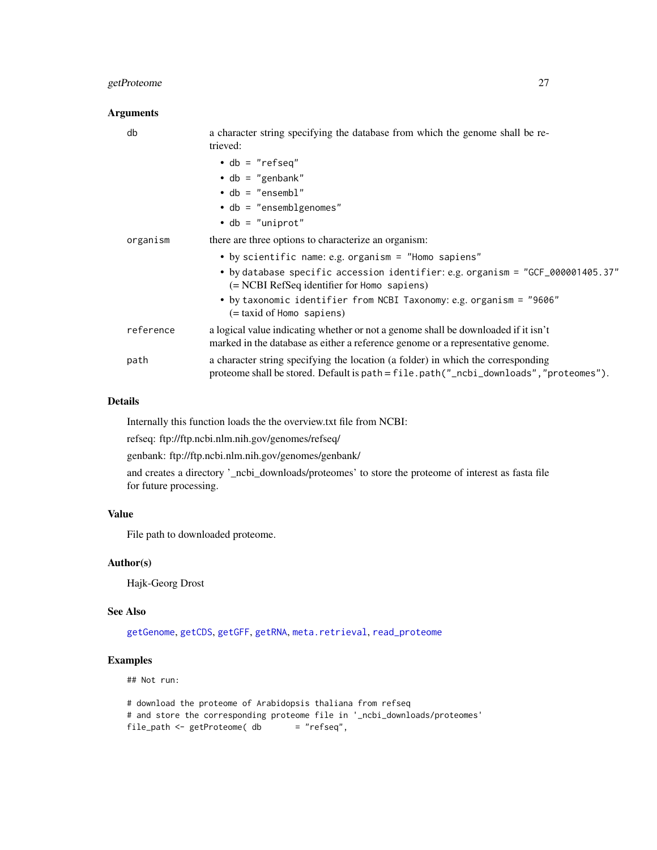# <span id="page-26-0"></span>getProteome 27

# Arguments

| db        | a character string specifying the database from which the genome shall be re-<br>trieved:                                                                                 |
|-----------|---------------------------------------------------------------------------------------------------------------------------------------------------------------------------|
|           | $\bullet$ db = "refseq"                                                                                                                                                   |
|           | $\bullet$ db = "genbank"                                                                                                                                                  |
|           | $\bullet$ db = "ensembl"                                                                                                                                                  |
|           | $\bullet$ db = "ensemblgenomes"                                                                                                                                           |
|           | $\bullet$ db = "uniprot"                                                                                                                                                  |
| organism  | there are three options to characterize an organism:                                                                                                                      |
|           | • by scientific name: e.g. organism = "Homo sapiens"<br>• by database specific accession identifier: e.g. organism = "GCF_000001405.37"                                   |
|           | $(= NCBI RefSeq$ identifier for Homo sapiens)                                                                                                                             |
|           | • by taxonomic identifier from NCBI Taxonomy: e.g. organism = "9606"<br>$(=$ taxid of Homo sapiens)                                                                       |
| reference | a logical value indicating whether or not a genome shall be downloaded if it isn't<br>marked in the database as either a reference genome or a representative genome.     |
| path      | a character string specifying the location (a folder) in which the corresponding<br>proteome shall be stored. Default is path = file.path("_ncbi_downloads","proteomes"). |

# Details

Internally this function loads the the overview.txt file from NCBI:

refseq: ftp://ftp.ncbi.nlm.nih.gov/genomes/refseq/

genbank: ftp://ftp.ncbi.nlm.nih.gov/genomes/genbank/

and creates a directory '\_ncbi\_downloads/proteomes' to store the proteome of interest as fasta file for future processing.

# Value

File path to downloaded proteome.

#### Author(s)

Hajk-Georg Drost

#### See Also

[getGenome](#page-14-1), [getCDS](#page-9-1), [getGFF](#page-16-1), [getRNA](#page-29-1), [meta.retrieval](#page-37-1), [read\\_proteome](#page-49-1)

# Examples

## Not run:

# download the proteome of Arabidopsis thaliana from refseq # and store the corresponding proteome file in '\_ncbi\_downloads/proteomes'<br>file\_path <- getProteome( db = "refseq", file\_path <- getProteome( db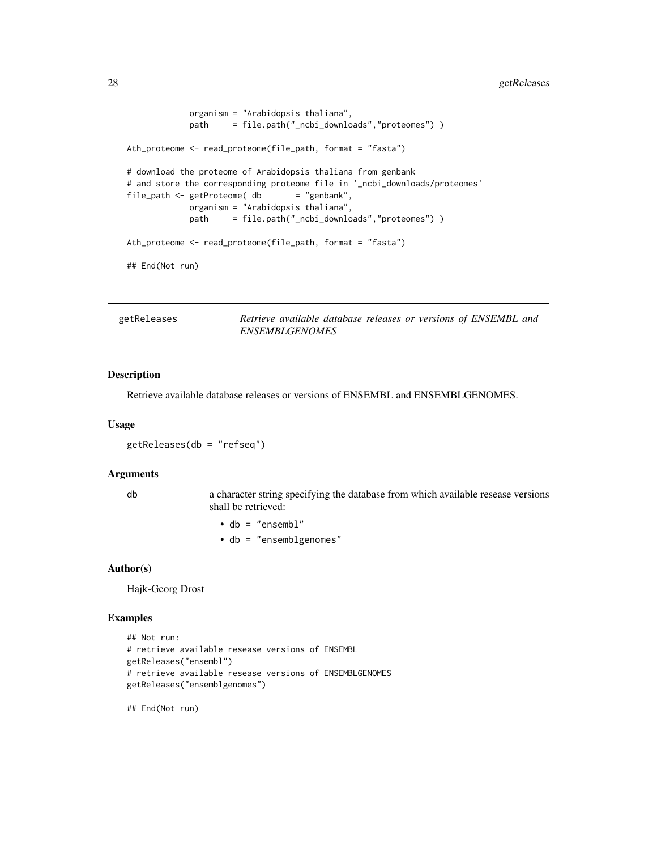```
organism = "Arabidopsis thaliana",
            path = file.path("_ncbi_downloads","proteomes") )
Ath_proteome <- read_proteome(file_path, format = "fasta")
# download the proteome of Arabidopsis thaliana from genbank
# and store the corresponding proteome file in '_ncbi_downloads/proteomes'
file_path <- getProteome( db = "genbank",
            organism = "Arabidopsis thaliana",
            path = file.path("_ncbi_downloads","proteomes") )
Ath_proteome <- read_proteome(file_path, format = "fasta")
## End(Not run)
```
getReleases *Retrieve available database releases or versions of ENSEMBL and ENSEMBLGENOMES*

# Description

Retrieve available database releases or versions of ENSEMBL and ENSEMBLGENOMES.

#### Usage

getReleases(db = "refseq")

#### **Arguments**

db a character string specifying the database from which available resease versions shall be retrieved:

• db = "ensembl"

• db = "ensemblgenomes"

#### Author(s)

Hajk-Georg Drost

#### Examples

```
## Not run:
# retrieve available resease versions of ENSEMBL
getReleases("ensembl")
# retrieve available resease versions of ENSEMBLGENOMES
getReleases("ensemblgenomes")
```
## End(Not run)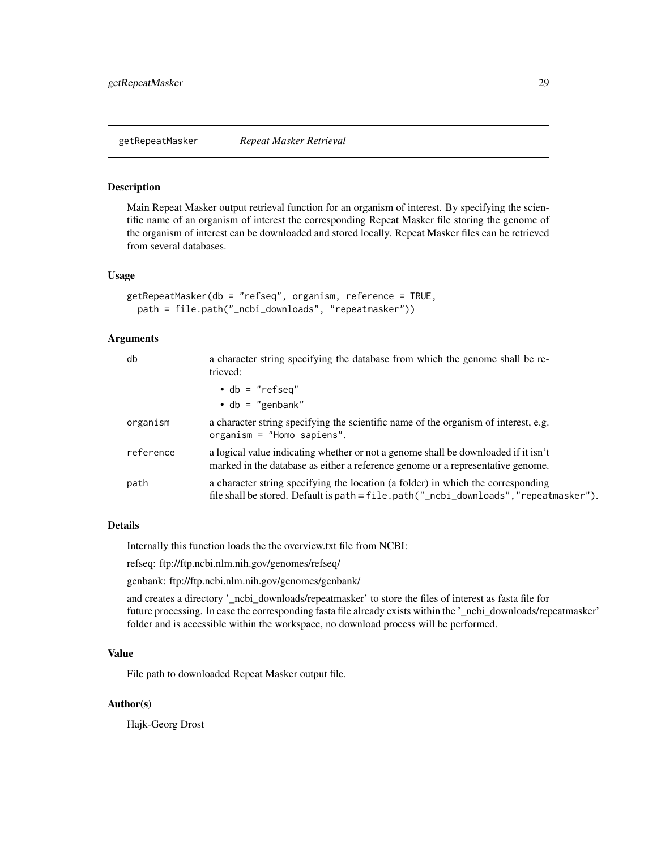<span id="page-28-1"></span><span id="page-28-0"></span>getRepeatMasker *Repeat Masker Retrieval*

#### Description

Main Repeat Masker output retrieval function for an organism of interest. By specifying the scientific name of an organism of interest the corresponding Repeat Masker file storing the genome of the organism of interest can be downloaded and stored locally. Repeat Masker files can be retrieved from several databases.

#### Usage

```
getRepeatMasker(db = "refseq", organism, reference = TRUE,
 path = file.path("_ncbi_downloads", "repeatmasker"))
```
#### Arguments

| db        | a character string specifying the database from which the genome shall be re-<br>trieved:                                                                                 |
|-----------|---------------------------------------------------------------------------------------------------------------------------------------------------------------------------|
|           | $\bullet$ db = "refseq"<br>$\bullet$ db = "genbank"                                                                                                                       |
| organism  | a character string specifying the scientific name of the organism of interest, e.g.<br>organism = $"Home$ sapiens".                                                       |
| reference | a logical value indicating whether or not a genome shall be downloaded if it isn't<br>marked in the database as either a reference genome or a representative genome.     |
| path      | a character string specifying the location (a folder) in which the corresponding<br>file shall be stored. Default is path = file.path("_ncbi_downloads", "repeatmasker"). |

# Details

Internally this function loads the the overview.txt file from NCBI:

refseq: ftp://ftp.ncbi.nlm.nih.gov/genomes/refseq/

genbank: ftp://ftp.ncbi.nlm.nih.gov/genomes/genbank/

and creates a directory '\_ncbi\_downloads/repeatmasker' to store the files of interest as fasta file for future processing. In case the corresponding fasta file already exists within the '\_ncbi\_downloads/repeatmasker' folder and is accessible within the workspace, no download process will be performed.

# Value

File path to downloaded Repeat Masker output file.

#### Author(s)

Hajk-Georg Drost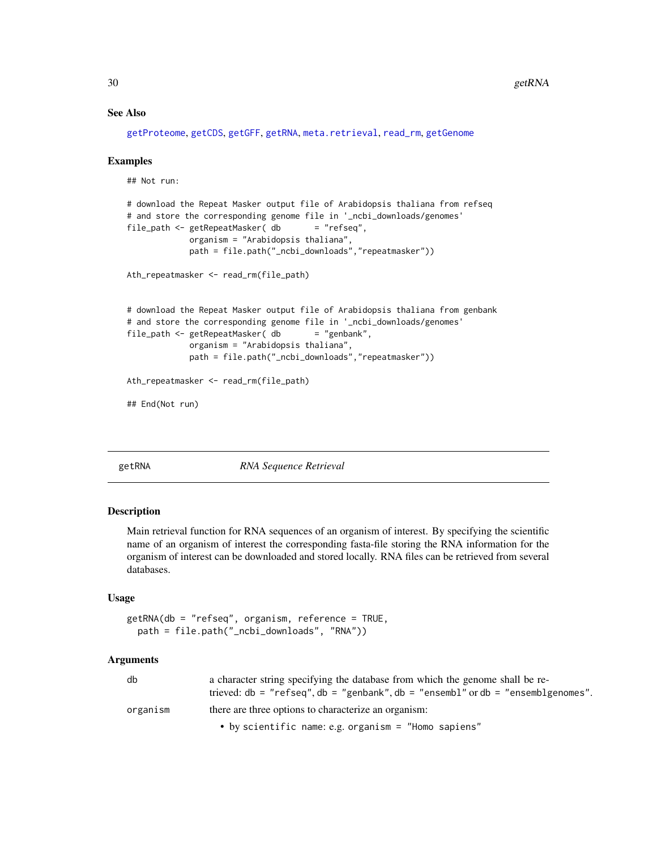# See Also

```
getProteome, getCDS, getGFF, getRNA, meta.retrieval, read_rm, getGenome
```
#### Examples

```
## Not run:
# download the Repeat Masker output file of Arabidopsis thaliana from refseq
# and store the corresponding genome file in '_ncbi_downloads/genomes'
file_path <- getRepeatMasker (db = "refseq",
            organism = "Arabidopsis thaliana",
            path = file.path("_ncbi_downloads","repeatmasker"))
Ath_repeatmasker <- read_rm(file_path)
# download the Repeat Masker output file of Arabidopsis thaliana from genbank
# and store the corresponding genome file in '_ncbi_downloads/genomes'
file_path <- getRepeatMasker( db
            organism = "Arabidopsis thaliana",
            path = file.path("_ncbi_downloads","repeatmasker"))
Ath_repeatmasker <- read_rm(file_path)
## End(Not run)
```
<span id="page-29-1"></span>

getRNA *RNA Sequence Retrieval*

#### Description

Main retrieval function for RNA sequences of an organism of interest. By specifying the scientific name of an organism of interest the corresponding fasta-file storing the RNA information for the organism of interest can be downloaded and stored locally. RNA files can be retrieved from several databases.

#### Usage

```
getRNA(db = "refseq", organism, reference = TRUE,
  path = file.path("_ncbi_downloads", "RNA"))
```

| db       | a character string specifying the database from which the genome shall be re- |
|----------|-------------------------------------------------------------------------------|
|          | trieved: $db = "refseq", db = "genbank", db = "ensemble", ordb = "ensemble!$  |
| organism | there are three options to characterize an organism:                          |
|          | • by scientific name: e.g. organism = "Homo sapiens"                          |

<span id="page-29-0"></span>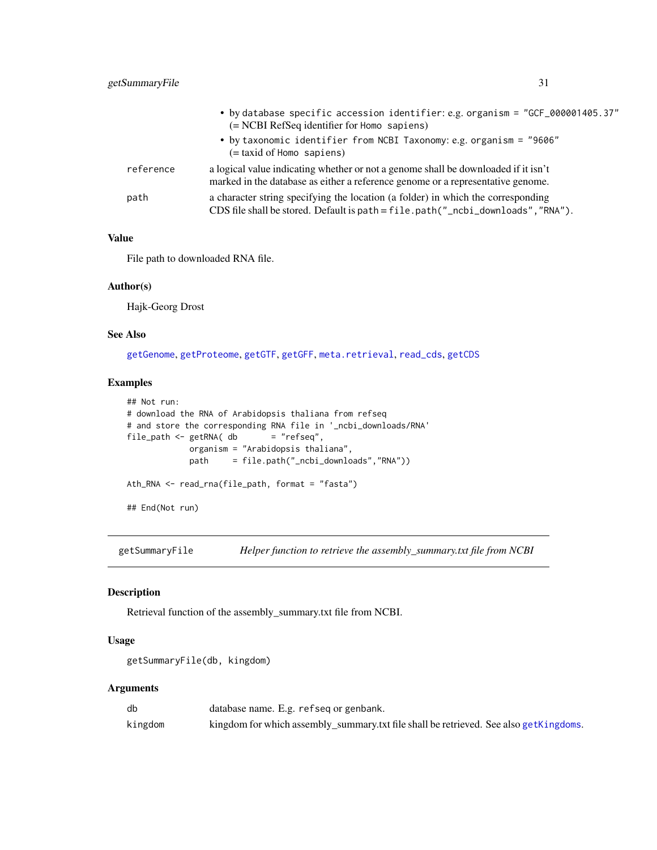<span id="page-30-0"></span>

|           | • by database specific accession identifier: e.g. organism = "GCF_000001405.37"<br>(= NCBI RefSeq identifier for Homo sapiens)                                        |
|-----------|-----------------------------------------------------------------------------------------------------------------------------------------------------------------------|
|           | • by taxonomic identifier from NCBI Taxonomy: e.g. organism = "9606"<br>$(=$ taxid of Homo sapiens)                                                                   |
| reference | a logical value indicating whether or not a genome shall be downloaded if it isn't<br>marked in the database as either a reference genome or a representative genome. |
| path      | a character string specifying the location (a folder) in which the corresponding<br>CDS file shall be stored. Default is path = file.path("_ncbi_downloads", "RNA").  |

# Value

File path to downloaded RNA file.

#### Author(s)

Hajk-Georg Drost

#### See Also

[getGenome](#page-14-1), [getProteome](#page-25-1), [getGTF](#page-20-1), [getGFF](#page-16-1), [meta.retrieval](#page-37-1), [read\\_cds](#page-46-2), [getCDS](#page-9-1)

#### Examples

```
## Not run:
# download the RNA of Arabidopsis thaliana from refseq
# and store the corresponding RNA file in '_ncbi_downloads/RNA'
file\_path \leq getRNA( db = "refseq",organism = "Arabidopsis thaliana",
            path = file.path("_ncbi_downloads","RNA"))
Ath_RNA <- read_rna(file_path, format = "fasta")
## End(Not run)
```
<span id="page-30-1"></span>getSummaryFile *Helper function to retrieve the assembly\_summary.txt file from NCBI*

# Description

Retrieval function of the assembly\_summary.txt file from NCBI.

#### Usage

```
getSummaryFile(db, kingdom)
```

| db      | database name. E.g. refseg or genbank.                                                |
|---------|---------------------------------------------------------------------------------------|
| kingdom | kingdom for which assembly_summary.txt file shall be retrieved. See also getKingdoms. |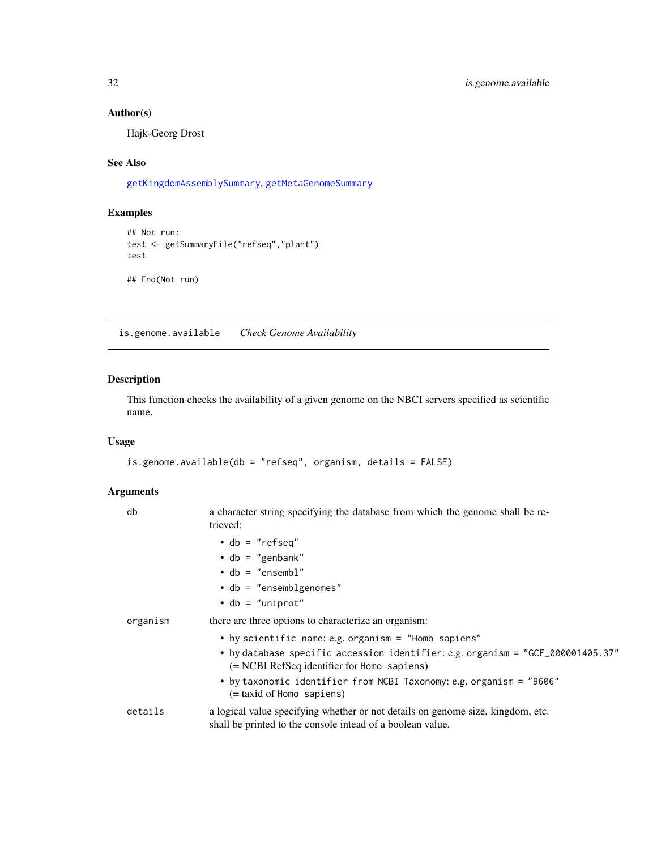# Author(s)

Hajk-Georg Drost

# See Also

[getKingdomAssemblySummary](#page-21-1), [getMetaGenomeSummary](#page-25-2)

# Examples

```
## Not run:
test <- getSummaryFile("refseq","plant")
test
## End(Not run)
```
<span id="page-31-1"></span>is.genome.available *Check Genome Availability*

# Description

This function checks the availability of a given genome on the NBCI servers specified as scientific name.

# Usage

```
is.genome.available(db = "refseq", organism, details = FALSE)
```

| db       | a character string specifying the database from which the genome shall be re-<br>trieved:                                                     |
|----------|-----------------------------------------------------------------------------------------------------------------------------------------------|
|          | $\bullet$ db = "refseq"                                                                                                                       |
|          | $\cdot$ db = "genbank"                                                                                                                        |
|          | $\bullet$ db = "ensembl"                                                                                                                      |
|          | $\bullet$ db = "ensemblgenomes"                                                                                                               |
|          | $\bullet$ db = "uniprot"                                                                                                                      |
| organism | there are three options to characterize an organism:                                                                                          |
|          | • by scientific name: e.g. organism = "Homo sapiens"                                                                                          |
|          | • by database specific accession identifier: e.g. organism = "GCF_000001405.37"<br>$(= NCBI RefSeq$ identifier for Homo sapiens)              |
|          | • by taxonomic identifier from NCBI Taxonomy: e.g. organism = "9606"<br>$(=$ taxid of Homo sapiens)                                           |
| details  | a logical value specifying whether or not details on genome size, kingdom, etc.<br>shall be printed to the console intead of a boolean value. |

<span id="page-31-0"></span>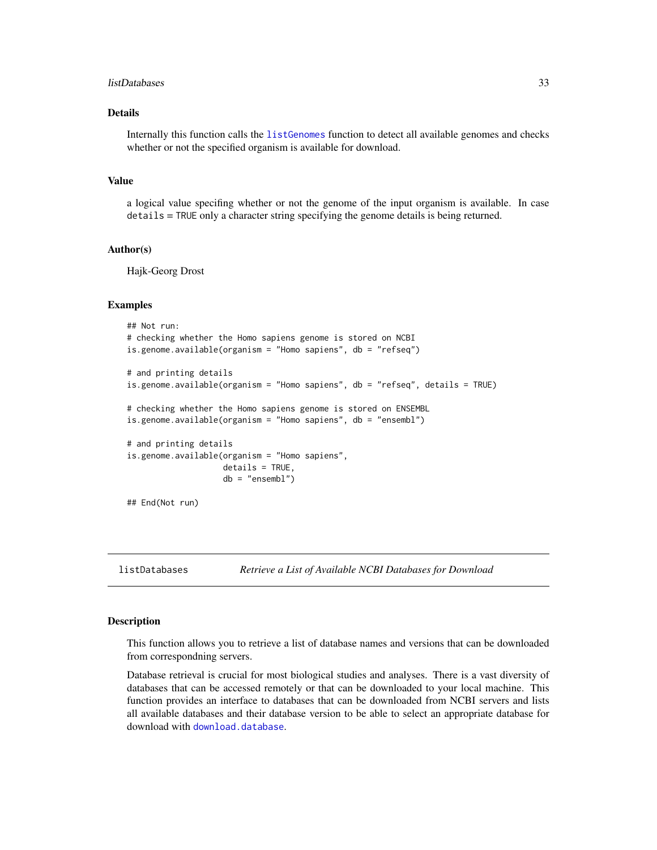#### <span id="page-32-0"></span>listDatabases 33

# Details

Internally this function calls the [listGenomes](#page-33-1) function to detect all available genomes and checks whether or not the specified organism is available for download.

#### Value

a logical value specifing whether or not the genome of the input organism is available. In case details = TRUE only a character string specifying the genome details is being returned.

#### Author(s)

Hajk-Georg Drost

#### Examples

```
## Not run:
# checking whether the Homo sapiens genome is stored on NCBI
is.genome.available(organism = "Homo sapiens", db = "refseq")
# and printing details
is.genome.available(organism = "Homo sapiens", db = "refseq", details = TRUE)
# checking whether the Homo sapiens genome is stored on ENSEMBL
is.genome.available(organism = "Homo sapiens", db = "ensembl")
# and printing details
is.genome.available(organism = "Homo sapiens",
                    details = TRUE,
                    db = "ensembl")
## End(Not run)
```
<span id="page-32-1"></span>listDatabases *Retrieve a List of Available NCBI Databases for Download*

### <span id="page-32-2"></span>**Description**

This function allows you to retrieve a list of database names and versions that can be downloaded from correspondning servers.

Database retrieval is crucial for most biological studies and analyses. There is a vast diversity of databases that can be accessed remotely or that can be downloaded to your local machine. This function provides an interface to databases that can be downloaded from NCBI servers and lists all available databases and their database version to be able to select an appropriate database for download with [download.database](#page-4-1).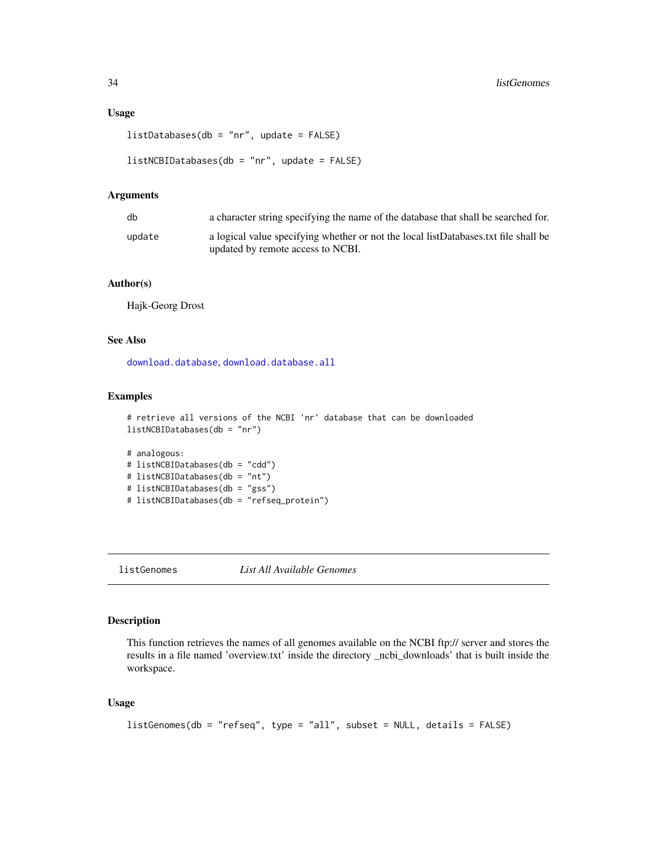# <span id="page-33-0"></span>Usage

```
listDatabases(db = "nr", update = FALSE)
```

```
listNCBIDatabases(db = "nr", update = FALSE)
```
# Arguments

| db     | a character string specifying the name of the database that shall be searched for.                                       |
|--------|--------------------------------------------------------------------------------------------------------------------------|
| update | a logical value specifying whether or not the local listDatabases.txt file shall be<br>updated by remote access to NCBI. |

# Author(s)

Hajk-Georg Drost

#### See Also

[download.database](#page-4-1), [download.database.all](#page-5-1)

# Examples

```
# retrieve all versions of the NCBI 'nr' database that can be downloaded
listNCBIDatabases(db = "nr")
```

```
# analogous:
# listNCBIDatabases(db = "cdd")
# listNCBIDatabases(db = "nt")
# listNCBIDatabases(db = "gss")
# listNCBIDatabases(db = "refseq_protein")
```
<span id="page-33-1"></span>listGenomes *List All Available Genomes*

# Description

This function retrieves the names of all genomes available on the NCBI ftp:// server and stores the results in a file named 'overview.txt' inside the directory \_ncbi\_downloads' that is built inside the workspace.

# Usage

```
listGenomes(db = "refseq", type = "all", subset = NULL, details = FALSE)
```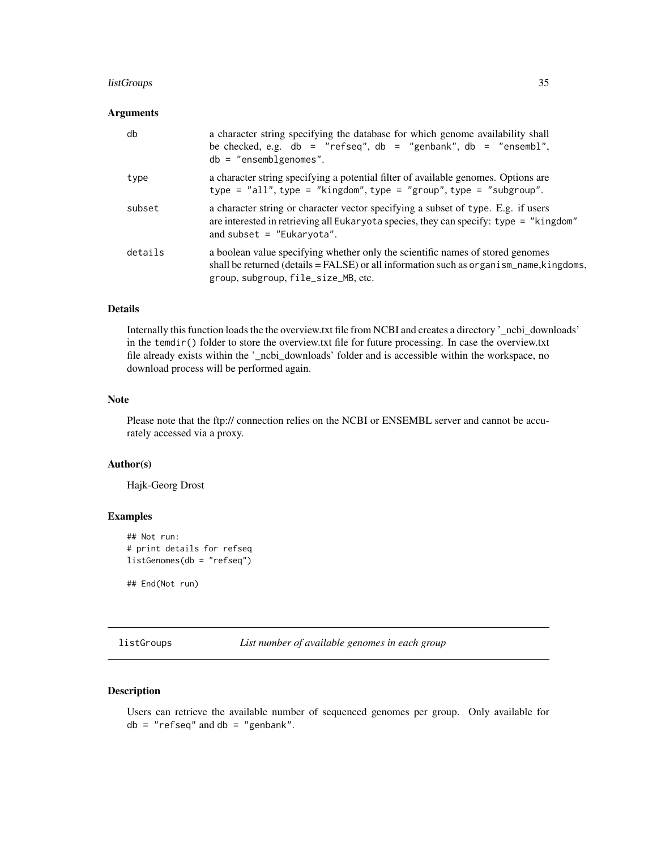# <span id="page-34-0"></span>listGroups 35

# Arguments

| db      | a character string specifying the database for which genome availability shall<br>be checked, e.g. db = "refseq", db = "genbank", db = "ensembl",<br>$db = "ensemble!$                                             |
|---------|--------------------------------------------------------------------------------------------------------------------------------------------------------------------------------------------------------------------|
| type    | a character string specifying a potential filter of available genomes. Options are<br>type = $"all", type = "kingdom", type = "group", type = "subgroup".$                                                         |
| subset  | a character string or character vector specifying a subset of type. E.g. if users<br>are interested in retrieving all Eukaryota species, they can specify: type = "kingdom"<br>and subset $=$ "Eukaryota".         |
| details | a boolean value specifying whether only the scientific names of stored genomes<br>shall be returned (details $=$ FALSE) or all information such as organism_name, kingdoms,<br>group, subgroup, file_size_MB, etc. |

# Details

Internally this function loads the the overview.txt file from NCBI and creates a directory '\_ncbi\_downloads' in the temdir() folder to store the overview.txt file for future processing. In case the overview.txt file already exists within the '\_ncbi\_downloads' folder and is accessible within the workspace, no download process will be performed again.

#### Note

Please note that the ftp:// connection relies on the NCBI or ENSEMBL server and cannot be accurately accessed via a proxy.

#### Author(s)

Hajk-Georg Drost

# Examples

```
## Not run:
# print details for refseq
listGenomes(db = "refseq")
```
## End(Not run)

<span id="page-34-1"></span>listGroups *List number of available genomes in each group*

# Description

Users can retrieve the available number of sequenced genomes per group. Only available for  $db = "refseq"$  and  $db = "genbank".$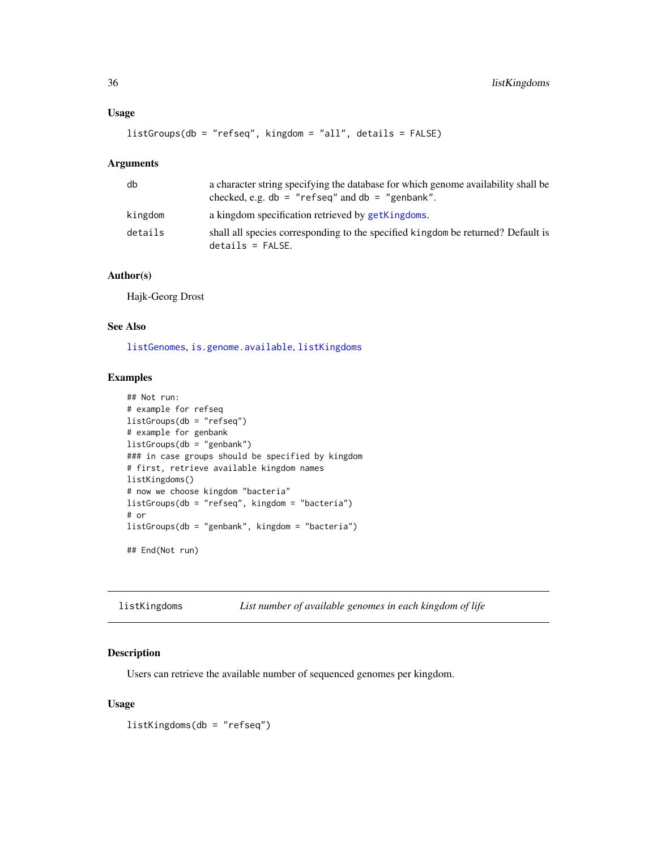# <span id="page-35-0"></span>Usage

```
listGroups(db = "refseq", kingdom = "all", details = FALSE)
```
#### Arguments

| db      | a character string specifying the database for which genome availability shall be<br>checked, e.g. $db = "refseq"$ and $db = "genbank".$ |
|---------|------------------------------------------------------------------------------------------------------------------------------------------|
| kingdom | a kingdom specification retrieved by getKingdoms.                                                                                        |
| details | shall all species corresponding to the specified kingdom be returned? Default is<br>$details = FALSE.$                                   |

# Author(s)

Hajk-Georg Drost

# See Also

[listGenomes](#page-33-1), [is.genome.available](#page-31-1), [listKingdoms](#page-35-1)

# Examples

```
## Not run:
# example for refseq
listGroups(db = "refseq")
# example for genbank
listGroups(db = "genbank")
### in case groups should be specified by kingdom
# first, retrieve available kingdom names
listKingdoms()
# now we choose kingdom "bacteria"
listGroups(db = "refseq", kingdom = "bacteria")
# or
listGroups(db = "genbank", kingdom = "bacteria")
## End(Not run)
```
<span id="page-35-1"></span>listKingdoms *List number of available genomes in each kingdom of life*

# Description

Users can retrieve the available number of sequenced genomes per kingdom.

# Usage

listKingdoms(db = "refseq")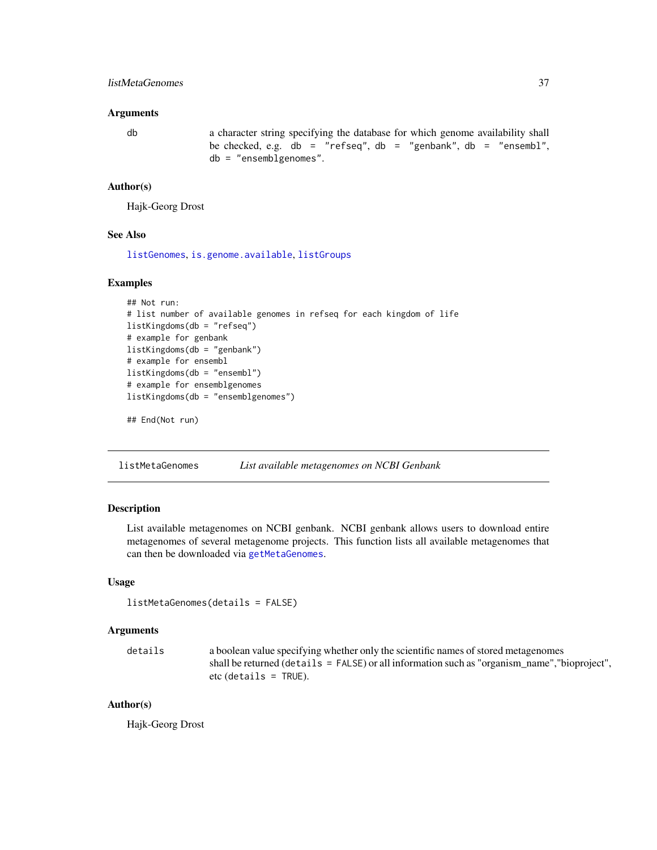# <span id="page-36-0"></span>listMetaGenomes 37

#### Arguments

db a character string specifying the database for which genome availability shall be checked, e.g.  $db = "refseq", db = "genbank", db = "ensemb1",$ db = "ensemblgenomes".

#### Author(s)

Hajk-Georg Drost

#### See Also

[listGenomes](#page-33-1), [is.genome.available](#page-31-1), [listGroups](#page-34-1)

# Examples

```
## Not run:
# list number of available genomes in refseq for each kingdom of life
listKingdoms(db = "refseq")
# example for genbank
listKingdoms(db = "genbank")
# example for ensembl
listKingdoms(db = "ensembl")
# example for ensemblgenomes
listKingdoms(db = "ensemblgenomes")
```
## End(Not run)

<span id="page-36-1"></span>listMetaGenomes *List available metagenomes on NCBI Genbank*

# Description

List available metagenomes on NCBI genbank. NCBI genbank allows users to download entire metagenomes of several metagenome projects. This function lists all available metagenomes that can then be downloaded via [getMetaGenomes](#page-24-1).

# Usage

```
listMetaGenomes(details = FALSE)
```
#### Arguments

```
details a boolean value specifying whether only the scientific names of stored metagenomes
                  shall be returned (details = FALSE) or all information such as "organism_name","bioproject",
                 etc (details = TRUE).
```
# Author(s)

Hajk-Georg Drost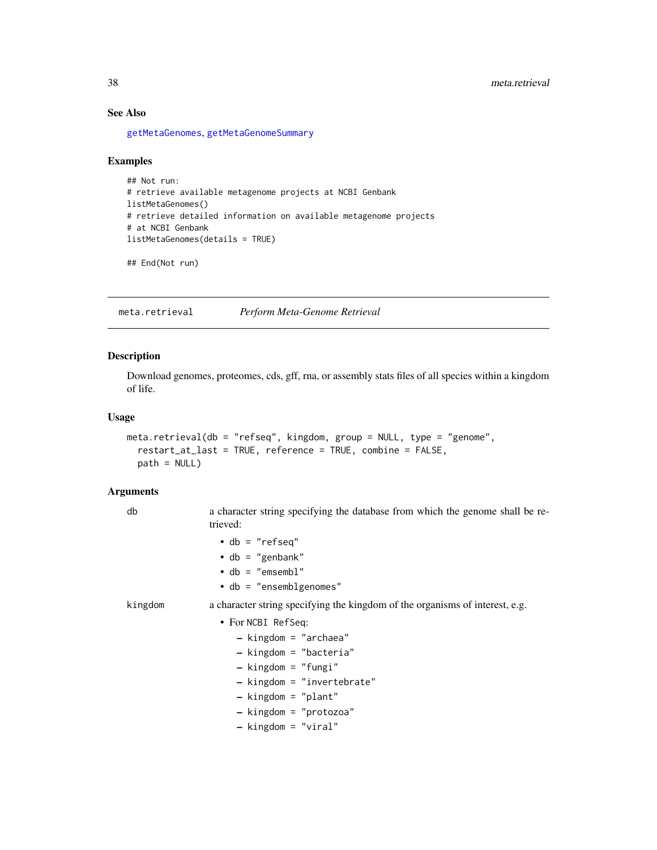# See Also

[getMetaGenomes](#page-24-1), [getMetaGenomeSummary](#page-25-2)

# Examples

```
## Not run:
# retrieve available metagenome projects at NCBI Genbank
listMetaGenomes()
# retrieve detailed information on available metagenome projects
# at NCBI Genbank
listMetaGenomes(details = TRUE)
```

```
## End(Not run)
```
<span id="page-37-1"></span>meta.retrieval *Perform Meta-Genome Retrieval*

# Description

Download genomes, proteomes, cds, gff, rna, or assembly stats files of all species within a kingdom of life.

# Usage

```
meta.retrieval(db = "refseq", kingdom, group = NULL, type = "genome",
  restart_at_last = TRUE, reference = TRUE, combine = FALSE,
 path = NULL)
```

| db      | a character string specifying the database from which the genome shall be re-<br>trieved:                        |
|---------|------------------------------------------------------------------------------------------------------------------|
|         | $\bullet$ db = "refseq"<br>$\cdot$ db = "genbank"<br>$\bullet$ db = "emsembl"<br>$\bullet$ db = "ensemblgenomes" |
| kingdom | a character string specifying the kingdom of the organisms of interest, e.g.                                     |
|         | • For NCBI RefSeq:                                                                                               |
|         | $-$ kingdom = "archaea"<br>$-$ kingdom = "bacteria"                                                              |
|         | $-$ kingdom = "fungi"                                                                                            |
|         | $-$ kingdom = "invertebrate"                                                                                     |
|         | $-$ kingdom = "plant"                                                                                            |
|         | - kingdom = "protozoa"                                                                                           |
|         | $-$ kingdom = "viral"                                                                                            |

<span id="page-37-0"></span>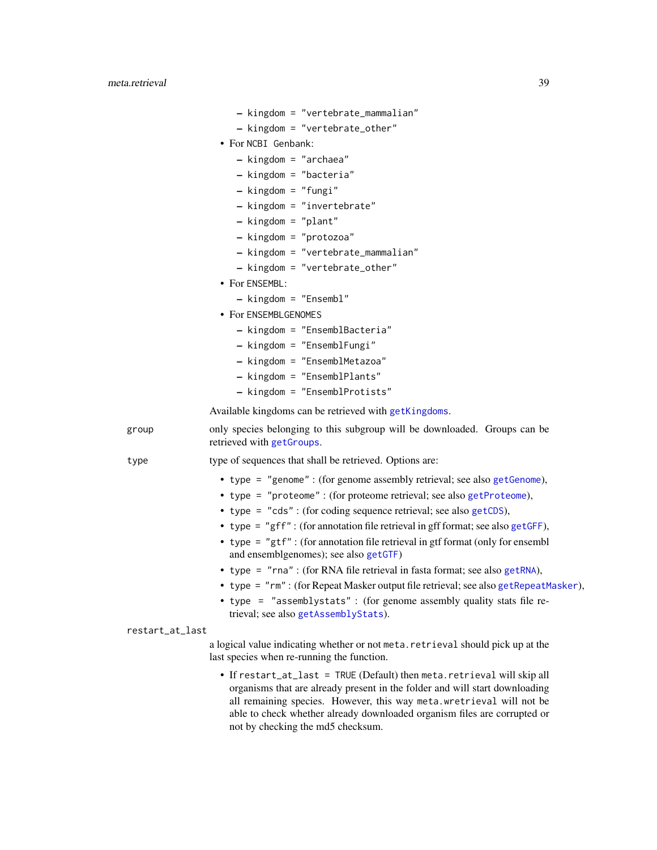- kingdom = "vertebrate\_mammalian"
- kingdom = "vertebrate\_other"
- <span id="page-38-0"></span>• For NCBI Genbank:
	- kingdom = "archaea"
	- kingdom = "bacteria"
	- kingdom = "fungi"
	- kingdom = "invertebrate"
	- kingdom = "plant"
	- kingdom = "protozoa"
	- kingdom = "vertebrate\_mammalian"
	- kingdom = "vertebrate\_other"
- For ENSEMBL:
	- kingdom = "Ensembl"
	- For ENSEMBLGENOMES
		- kingdom = "EnsemblBacteria"
		- kingdom = "EnsemblFungi"
		- kingdom = "EnsemblMetazoa"
		- kingdom = "EnsemblPlants"
		- kingdom = "EnsemblProtists"

Available kingdoms can be retrieved with [getKingdoms](#page-22-2).

group only species belonging to this subgroup will be downloaded. Groups can be retrieved with [getGroups](#page-19-1).

type type of sequences that shall be retrieved. Options are:

- type = "genome" : (for genome assembly retrieval; see also [getGenome](#page-14-1)),
- type = "proteome" : (for proteome retrieval; see also [getProteome](#page-25-1)),
- type = "cds" : (for coding sequence retrieval; see also [getCDS](#page-9-1)),
- type = "gff" : (for annotation file retrieval in gff format; see also [getGFF](#page-16-1)),
- type = "gtf" : (for annotation file retrieval in gtf format (only for ensembl and ensemblgenomes); see also [getGTF](#page-20-1))
- type = "rna" : (for RNA file retrieval in fasta format; see also [getRNA](#page-29-1)),
- type = "rm" : (for Repeat Masker output file retrieval; see also [getRepeatMasker](#page-28-1)),
- type = "assemblystats" : (for genome assembly quality stats file retrieval; see also [getAssemblyStats](#page-6-1)).

restart\_at\_last

a logical value indicating whether or not meta.retrieval should pick up at the last species when re-running the function.

• If restart\_at\_last = TRUE (Default) then meta.retrieval will skip all organisms that are already present in the folder and will start downloading all remaining species. However, this way meta.wretrieval will not be able to check whether already downloaded organism files are corrupted or not by checking the md5 checksum.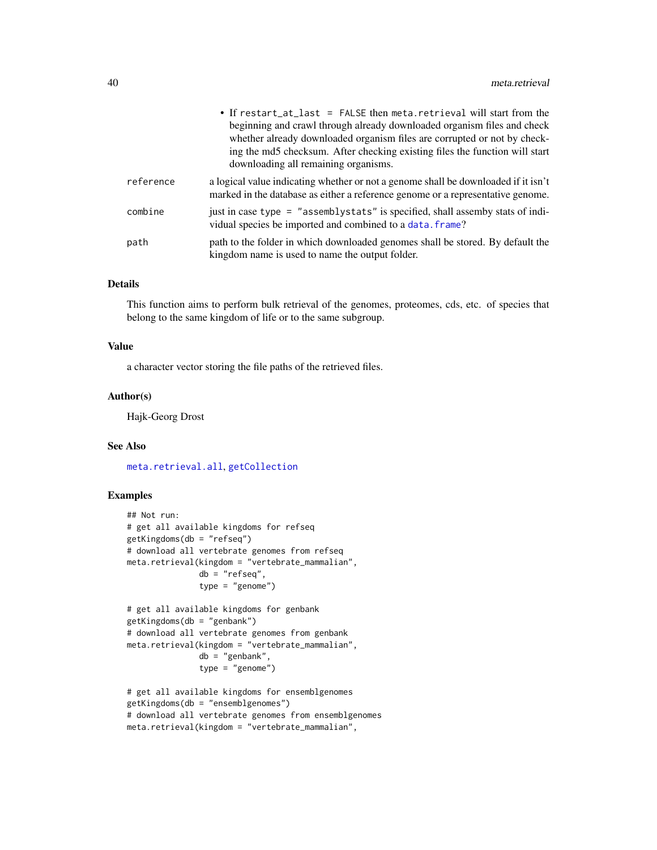<span id="page-39-0"></span>

|           | • If restart_at_last = FALSE then meta.retrieval will start from the<br>beginning and crawl through already downloaded organism files and check<br>whether already downloaded organism files are corrupted or not by check-<br>ing the md5 checksum. After checking existing files the function will start<br>downloading all remaining organisms. |
|-----------|----------------------------------------------------------------------------------------------------------------------------------------------------------------------------------------------------------------------------------------------------------------------------------------------------------------------------------------------------|
| reference | a logical value indicating whether or not a genome shall be downloaded if it isn't<br>marked in the database as either a reference genome or a representative genome.                                                                                                                                                                              |
| combine   | just in case type = "assemblystats" is specified, shall assemby stats of indi-<br>vidual species be imported and combined to a data. frame?                                                                                                                                                                                                        |
| path      | path to the folder in which downloaded genomes shall be stored. By default the<br>kingdom name is used to name the output folder.                                                                                                                                                                                                                  |

# Details

This function aims to perform bulk retrieval of the genomes, proteomes, cds, etc. of species that belong to the same kingdom of life or to the same subgroup.

# Value

a character vector storing the file paths of the retrieved files.

#### Author(s)

Hajk-Georg Drost

#### See Also

[meta.retrieval.all](#page-40-1), [getCollection](#page-10-1)

# Examples

```
## Not run:
# get all available kingdoms for refseq
getKingdoms(db = "refseq")
# download all vertebrate genomes from refseq
meta.retrieval(kingdom = "vertebrate_mammalian",
               db = "refseq",type = "genome")
# get all available kingdoms for genbank
getKingdoms(db = "genbank")
# download all vertebrate genomes from genbank
meta.retrieval(kingdom = "vertebrate_mammalian",
               db = "genbank",
               type = "genome")
# get all available kingdoms for ensemblgenomes
getKingdoms(db = "ensemblgenomes")
# download all vertebrate genomes from ensemblgenomes
meta.retrieval(kingdom = "vertebrate_mammalian",
```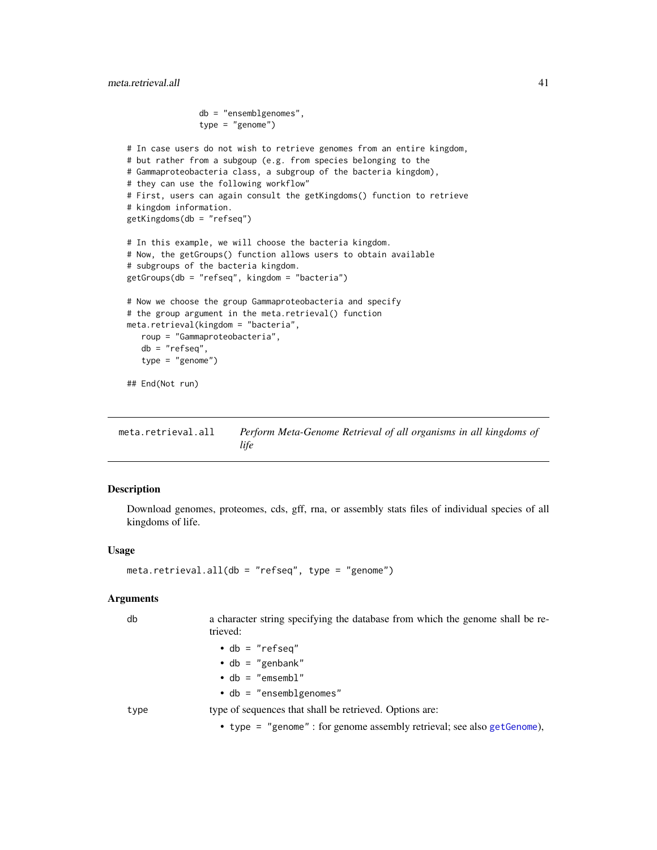```
db = "ensemblgenomes",
               type = "genome")
# In case users do not wish to retrieve genomes from an entire kingdom,
# but rather from a subgoup (e.g. from species belonging to the
# Gammaproteobacteria class, a subgroup of the bacteria kingdom),
# they can use the following workflow"
# First, users can again consult the getKingdoms() function to retrieve
# kingdom information.
getKingdoms(db = "refseq")
# In this example, we will choose the bacteria kingdom.
# Now, the getGroups() function allows users to obtain available
# subgroups of the bacteria kingdom.
getGroups(db = "refseq", kingdom = "bacteria")
# Now we choose the group Gammaproteobacteria and specify
# the group argument in the meta.retrieval() function
meta.retrieval(kingdom = "bacteria",
   roup = "Gammaproteobacteria",
   db = "refseq",
   type = "genome")
## End(Not run)
```
<span id="page-40-1"></span>meta.retrieval.all *Perform Meta-Genome Retrieval of all organisms in all kingdoms of life*

# Description

Download genomes, proteomes, cds, gff, rna, or assembly stats files of individual species of all kingdoms of life.

#### Usage

```
meta.retrieval.all(db = "refseq", type = "genome")
```

| db   | a character string specifying the database from which the genome shall be re-<br>trieved: |
|------|-------------------------------------------------------------------------------------------|
|      | $\bullet$ db = "refseq"                                                                   |
|      | $\bullet$ db = "genbank"                                                                  |
|      | $\cdot$ db = "emsembl"                                                                    |
|      | $\bullet$ db = "ensemblgenomes"                                                           |
| type | type of sequences that shall be retrieved. Options are:                                   |
|      | • type = "genome" : for genome assembly retrieval; see also get Genome),                  |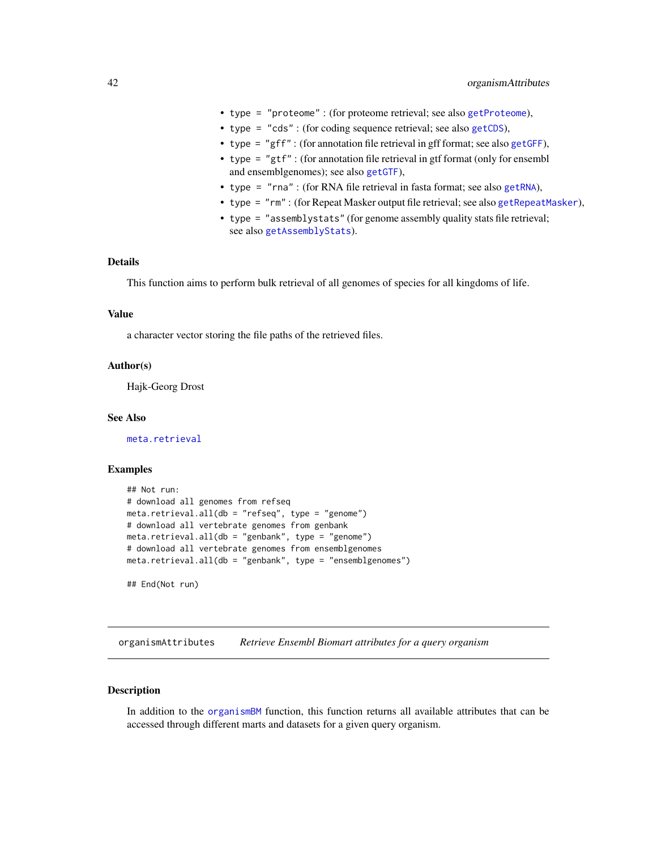- <span id="page-41-0"></span>• type = "proteome" : (for proteome retrieval; see also [getProteome](#page-25-1)),
- type = "cds" : (for coding sequence retrieval; see also [getCDS](#page-9-1)),
- type = "gff" : (for annotation file retrieval in gff format; see also [getGFF](#page-16-1)),
- type = "gtf" : (for annotation file retrieval in gtf format (only for ensembl and ensemblgenomes); see also [getGTF](#page-20-1)),
- type = "rna" : (for RNA file retrieval in fasta format; see also [getRNA](#page-29-1)),
- type = "rm" : (for Repeat Masker output file retrieval; see also [getRepeatMasker](#page-28-1)),
- type = "assemblystats" (for genome assembly quality stats file retrieval; see also [getAssemblyStats](#page-6-1)).

# Details

This function aims to perform bulk retrieval of all genomes of species for all kingdoms of life.

#### Value

a character vector storing the file paths of the retrieved files.

# Author(s)

Hajk-Georg Drost

#### See Also

[meta.retrieval](#page-37-1)

#### Examples

```
## Not run:
# download all genomes from refseq
meta.retrieval.all(db = "refseq", type = "genome")
# download all vertebrate genomes from genbank
meta.retrieval.all(db = "genbank", type = "genome")
# download all vertebrate genomes from ensemblgenomes
meta.retrieval.all(db = "genbank", type = "ensemblgenomes")
## End(Not run)
```
<span id="page-41-1"></span>organismAttributes *Retrieve Ensembl Biomart attributes for a query organism*

# Description

In addition to the [organismBM](#page-43-1) function, this function returns all available attributes that can be accessed through different marts and datasets for a given query organism.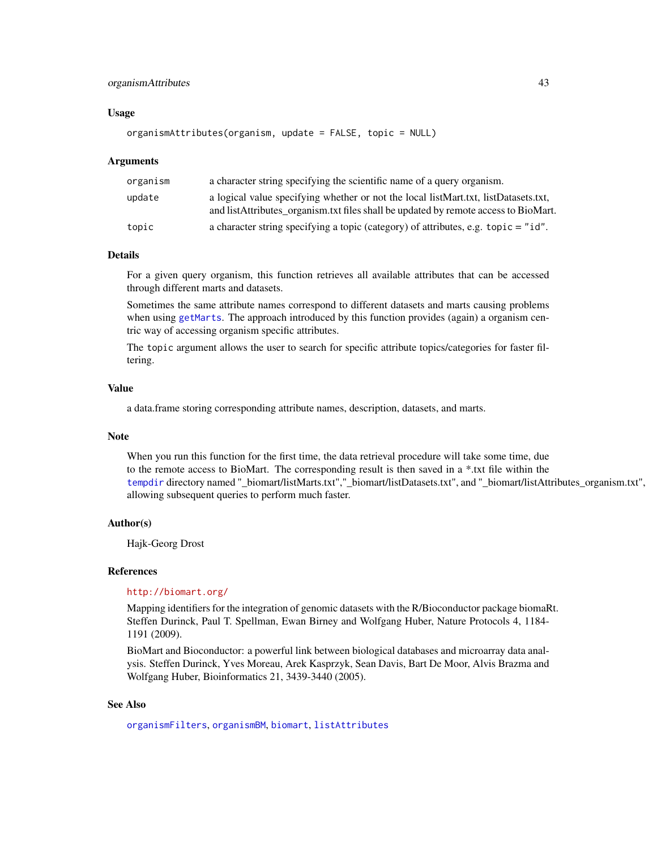# <span id="page-42-0"></span>organismAttributes 43

#### Usage

```
organismAttributes(organism, update = FALSE, topic = NULL)
```
#### Arguments

| organism | a character string specifying the scientific name of a query organism.                                                                                                     |
|----------|----------------------------------------------------------------------------------------------------------------------------------------------------------------------------|
| update   | a logical value specifying whether or not the local listMart.txt, listDatasets.txt,<br>and listAttributes organism.txt files shall be updated by remote access to BioMart. |
| topic    | a character string specifying a topic (category) of attributes, e.g. $\text{topic} = "id".$                                                                                |

#### Details

For a given query organism, this function retrieves all available attributes that can be accessed through different marts and datasets.

Sometimes the same attribute names correspond to different datasets and marts causing problems when using [getMarts](#page-22-1). The approach introduced by this function provides (again) a organism centric way of accessing organism specific attributes.

The topic argument allows the user to search for specific attribute topics/categories for faster filtering.

# Value

a data.frame storing corresponding attribute names, description, datasets, and marts.

## Note

When you run this function for the first time, the data retrieval procedure will take some time, due to the remote access to BioMart. The corresponding result is then saved in a \*.txt file within the [tempdir](#page-0-0) directory named "\_biomart/listMarts.txt","\_biomart/listDatasets.txt", and "\_biomart/listAttributes\_organism.txt", allowing subsequent queries to perform much faster.

#### Author(s)

Hajk-Georg Drost

#### References

#### <http://biomart.org/>

Mapping identifiers for the integration of genomic datasets with the R/Bioconductor package biomaRt. Steffen Durinck, Paul T. Spellman, Ewan Birney and Wolfgang Huber, Nature Protocols 4, 1184- 1191 (2009).

BioMart and Bioconductor: a powerful link between biological databases and microarray data analysis. Steffen Durinck, Yves Moreau, Arek Kasprzyk, Sean Davis, Bart De Moor, Alvis Brazma and Wolfgang Huber, Bioinformatics 21, 3439-3440 (2005).

#### See Also

[organismFilters](#page-44-1), [organismBM](#page-43-1), [biomart](#page-3-1), [listAttributes](#page-0-0)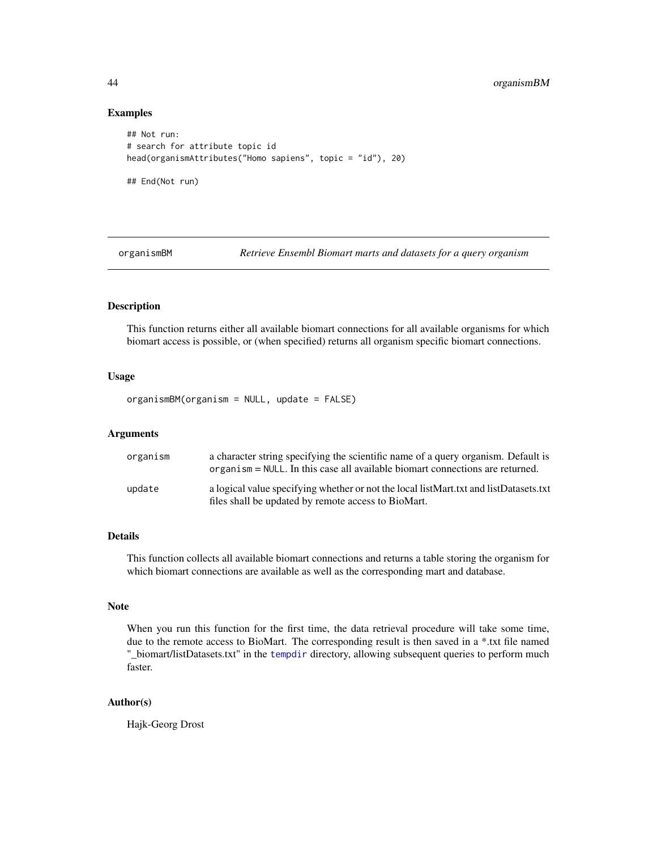#### Examples

```
## Not run:
# search for attribute topic id
head(organismAttributes("Homo sapiens", topic = "id"), 20)
## End(Not run)
```
<span id="page-43-1"></span>

organismBM *Retrieve Ensembl Biomart marts and datasets for a query organism*

# Description

This function returns either all available biomart connections for all available organisms for which biomart access is possible, or (when specified) returns all organism specific biomart connections.

# Usage

organismBM(organism = NULL, update = FALSE)

#### Arguments

| organism | a character string specifying the scientific name of a query organism. Default is<br>organism = NULL. In this case all available biomart connections are returned. |
|----------|--------------------------------------------------------------------------------------------------------------------------------------------------------------------|
| update   | a logical value specifying whether or not the local listMart.txt and listDatasets.txt<br>files shall be updated by remote access to BioMart.                       |

#### Details

This function collects all available biomart connections and returns a table storing the organism for which biomart connections are available as well as the corresponding mart and database.

#### Note

When you run this function for the first time, the data retrieval procedure will take some time, due to the remote access to BioMart. The corresponding result is then saved in a \*.txt file named "\_biomart/listDatasets.txt" in the [tempdir](#page-0-0) directory, allowing subsequent queries to perform much faster.

# Author(s)

Hajk-Georg Drost

<span id="page-43-0"></span>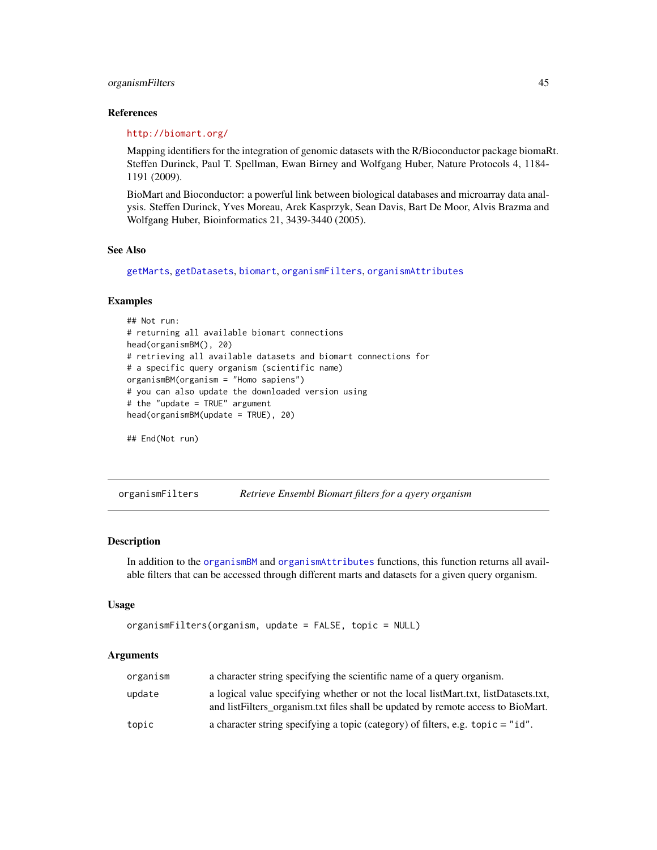# <span id="page-44-0"></span>organismFilters 45

#### References

#### <http://biomart.org/>

Mapping identifiers for the integration of genomic datasets with the R/Bioconductor package biomaRt. Steffen Durinck, Paul T. Spellman, Ewan Birney and Wolfgang Huber, Nature Protocols 4, 1184- 1191 (2009).

BioMart and Bioconductor: a powerful link between biological databases and microarray data analysis. Steffen Durinck, Yves Moreau, Arek Kasprzyk, Sean Davis, Bart De Moor, Alvis Brazma and Wolfgang Huber, Bioinformatics 21, 3439-3440 (2005).

#### See Also

[getMarts](#page-22-1), [getDatasets](#page-11-1), [biomart](#page-3-1), [organismFilters](#page-44-1), [organismAttributes](#page-41-1)

# Examples

```
## Not run:
# returning all available biomart connections
head(organismBM(), 20)
# retrieving all available datasets and biomart connections for
# a specific query organism (scientific name)
organismBM(organism = "Homo sapiens")
# you can also update the downloaded version using
# the "update = TRUE" argument
head(organismBM(update = TRUE), 20)
```

```
## End(Not run)
```
<span id="page-44-1"></span>organismFilters *Retrieve Ensembl Biomart filters for a qyery organism*

#### Description

In addition to the [organismBM](#page-43-1) and [organismAttributes](#page-41-1) functions, this function returns all available filters that can be accessed through different marts and datasets for a given query organism.

#### Usage

```
organismFilters(organism, update = FALSE, topic = NULL)
```

| organism | a character string specifying the scientific name of a query organism.                                                                                                   |
|----------|--------------------------------------------------------------------------------------------------------------------------------------------------------------------------|
| update   | a logical value specifying whether or not the local listMart.txt, listDatasets.txt,<br>and list Filters organism txt files shall be updated by remote access to BioMart. |
| topic    | a character string specifying a topic (category) of filters, e.g. $\text{topic} = "id".$                                                                                 |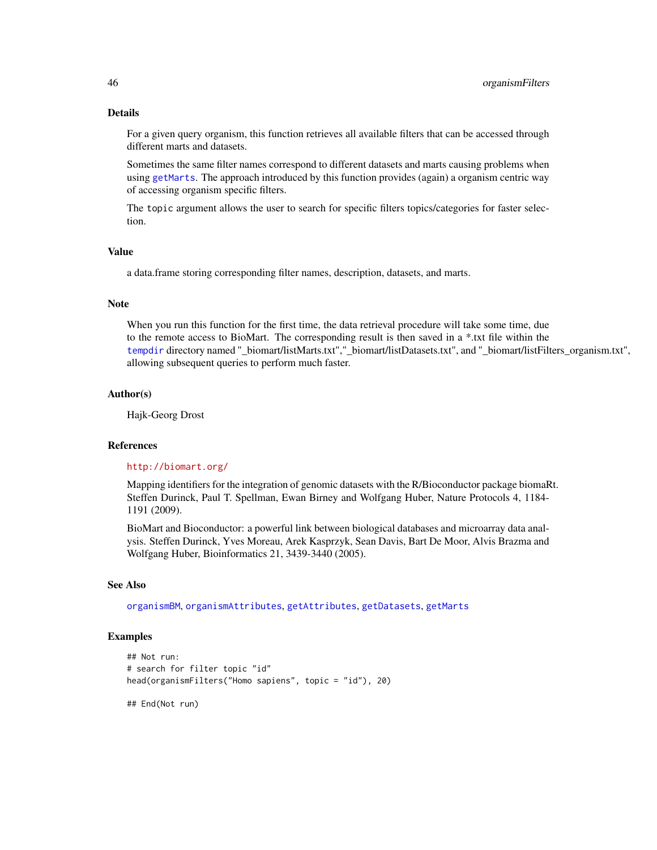# Details

For a given query organism, this function retrieves all available filters that can be accessed through different marts and datasets.

Sometimes the same filter names correspond to different datasets and marts causing problems when using [getMarts](#page-22-1). The approach introduced by this function provides (again) a organism centric way of accessing organism specific filters.

The topic argument allows the user to search for specific filters topics/categories for faster selection.

#### Value

a data.frame storing corresponding filter names, description, datasets, and marts.

#### Note

When you run this function for the first time, the data retrieval procedure will take some time, due to the remote access to BioMart. The corresponding result is then saved in a \*.txt file within the [tempdir](#page-0-0) directory named "\_biomart/listMarts.txt","\_biomart/listDatasets.txt", and "\_biomart/listFilters\_organism.txt", allowing subsequent queries to perform much faster.

#### Author(s)

Hajk-Georg Drost

#### References

#### <http://biomart.org/>

Mapping identifiers for the integration of genomic datasets with the R/Bioconductor package biomaRt. Steffen Durinck, Paul T. Spellman, Ewan Birney and Wolfgang Huber, Nature Protocols 4, 1184- 1191 (2009).

BioMart and Bioconductor: a powerful link between biological databases and microarray data analysis. Steffen Durinck, Yves Moreau, Arek Kasprzyk, Sean Davis, Bart De Moor, Alvis Brazma and Wolfgang Huber, Bioinformatics 21, 3439-3440 (2005).

# See Also

[organismBM](#page-43-1), [organismAttributes](#page-41-1), [getAttributes](#page-8-1), [getDatasets](#page-11-1), [getMarts](#page-22-1)

# Examples

```
## Not run:
# search for filter topic "id"
head(organismFilters("Homo sapiens", topic = "id"), 20)
```
## End(Not run)

<span id="page-45-0"></span>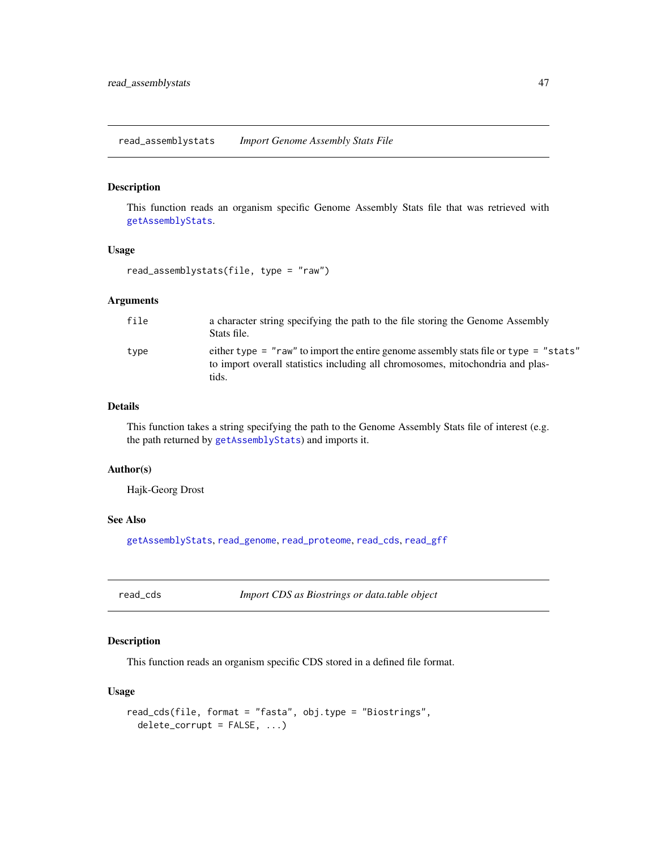<span id="page-46-1"></span><span id="page-46-0"></span>read\_assemblystats *Import Genome Assembly Stats File*

#### Description

This function reads an organism specific Genome Assembly Stats file that was retrieved with [getAssemblyStats](#page-6-1).

# Usage

read\_assemblystats(file, type = "raw")

# Arguments

| file | a character string specifying the path to the file storing the Genome Assembly<br>Stats file.                                                                                    |
|------|----------------------------------------------------------------------------------------------------------------------------------------------------------------------------------|
| type | either type = "raw" to import the entire genome assembly stats file or type = "stats"<br>to import overall statistics including all chromosomes, mitochondria and plas-<br>tids. |

# Details

This function takes a string specifying the path to the Genome Assembly Stats file of interest (e.g. the path returned by [getAssemblyStats](#page-6-1)) and imports it.

#### Author(s)

Hajk-Georg Drost

# See Also

[getAssemblyStats](#page-6-1), [read\\_genome](#page-47-1), [read\\_proteome](#page-49-1), [read\\_cds](#page-46-2), [read\\_gff](#page-48-1)

<span id="page-46-2"></span>read\_cds *Import CDS as Biostrings or data.table object*

# Description

This function reads an organism specific CDS stored in a defined file format.

# Usage

```
read_cds(file, format = "fasta", obj.type = "Biostrings",
 delete_corrupt = FALSE, ...)
```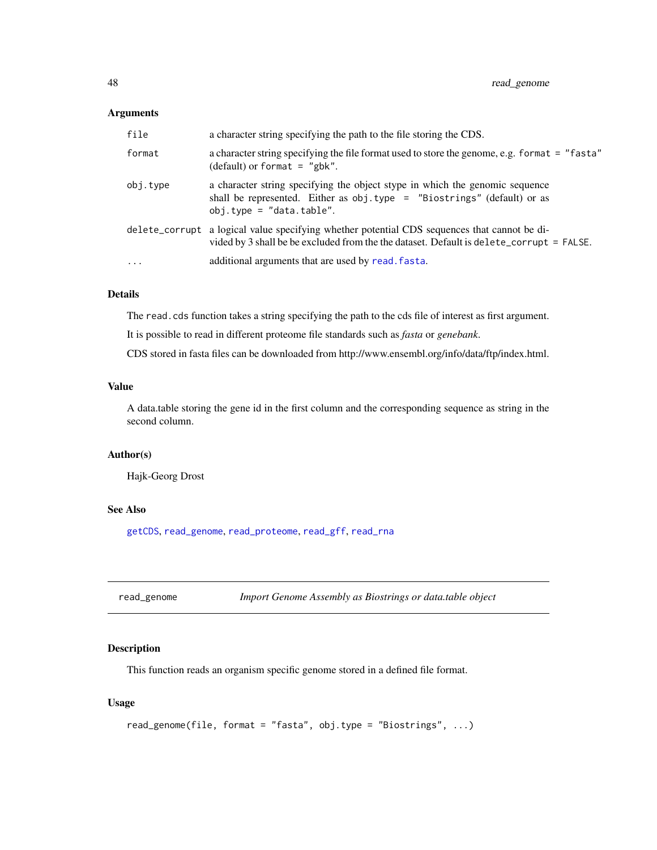# <span id="page-47-0"></span>Arguments

| file     | a character string specifying the path to the file storing the CDS.                                                                                                                         |
|----------|---------------------------------------------------------------------------------------------------------------------------------------------------------------------------------------------|
| format   | a character string specifying the file format used to store the genome, e.g. format = "fasta"<br>(default) or format = $"g$ bk".                                                            |
| obj.type | a character string specifying the object stype in which the genomic sequence<br>shall be represented. Either as obj.type = "Biostrings" (default) or as<br>$obj.type = "data.table".$       |
|          | delete_corrupt a logical value specifying whether potential CDS sequences that cannot be di-<br>vided by 3 shall be be excluded from the the dataset. Default is delete_corrupt = $FALSE$ . |
| $\ddots$ | additional arguments that are used by read. fasta.                                                                                                                                          |

# Details

The read.cds function takes a string specifying the path to the cds file of interest as first argument.

It is possible to read in different proteome file standards such as *fasta* or *genebank*.

CDS stored in fasta files can be downloaded from http://www.ensembl.org/info/data/ftp/index.html.

# Value

A data.table storing the gene id in the first column and the corresponding sequence as string in the second column.

# Author(s)

Hajk-Georg Drost

# See Also

[getCDS](#page-9-1), [read\\_genome](#page-47-1), [read\\_proteome](#page-49-1), [read\\_gff](#page-48-1), [read\\_rna](#page-50-2)

<span id="page-47-1"></span>read\_genome *Import Genome Assembly as Biostrings or data.table object*

# Description

This function reads an organism specific genome stored in a defined file format.

# Usage

```
read_genome(file, format = "fasta", obj.type = "Biostrings", ...)
```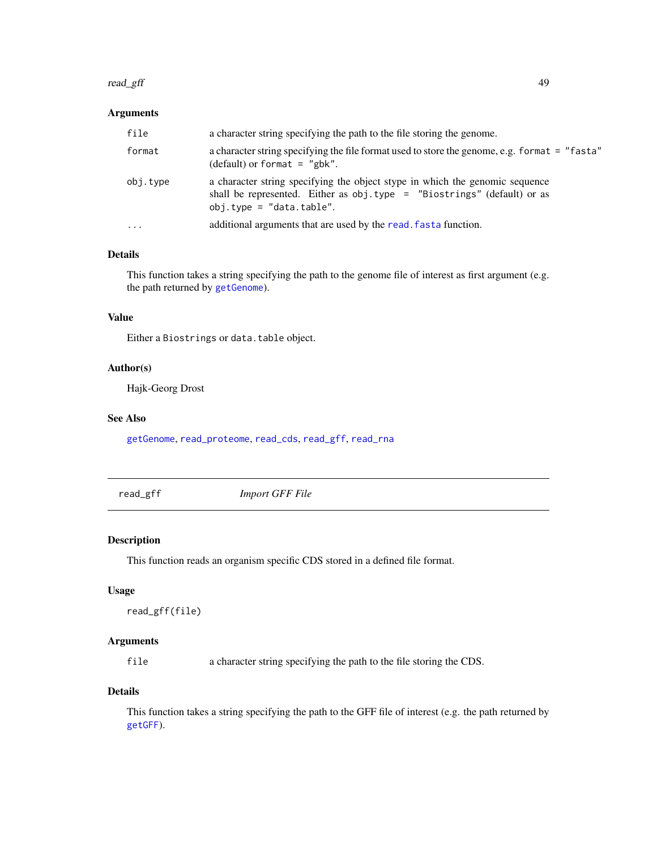#### <span id="page-48-0"></span>read\_gff 49

# Arguments

| file     | a character string specifying the path to the file storing the genome.                                                                                                                |
|----------|---------------------------------------------------------------------------------------------------------------------------------------------------------------------------------------|
| format   | a character string specifying the file format used to store the genome, e.g. format = "fasta"<br>(default) or format = $"g$ bk".                                                      |
| obj.type | a character string specifying the object stype in which the genomic sequence<br>shall be represented. Either as obj.type = "Biostrings" (default) or as<br>$obj.type = "data.table".$ |
| $\cdots$ | additional arguments that are used by the read. fasta function.                                                                                                                       |

# Details

This function takes a string specifying the path to the genome file of interest as first argument (e.g. the path returned by [getGenome](#page-14-1)).

#### Value

Either a Biostrings or data.table object.

# Author(s)

Hajk-Georg Drost

# See Also

[getGenome](#page-14-1), [read\\_proteome](#page-49-1), [read\\_cds](#page-46-2), [read\\_gff](#page-48-1), [read\\_rna](#page-50-2)

<span id="page-48-1"></span>read\_gff *Import GFF File*

#### Description

This function reads an organism specific CDS stored in a defined file format.

# Usage

```
read_gff(file)
```
# Arguments

file a character string specifying the path to the file storing the CDS.

# Details

This function takes a string specifying the path to the GFF file of interest (e.g. the path returned by [getGFF](#page-16-1)).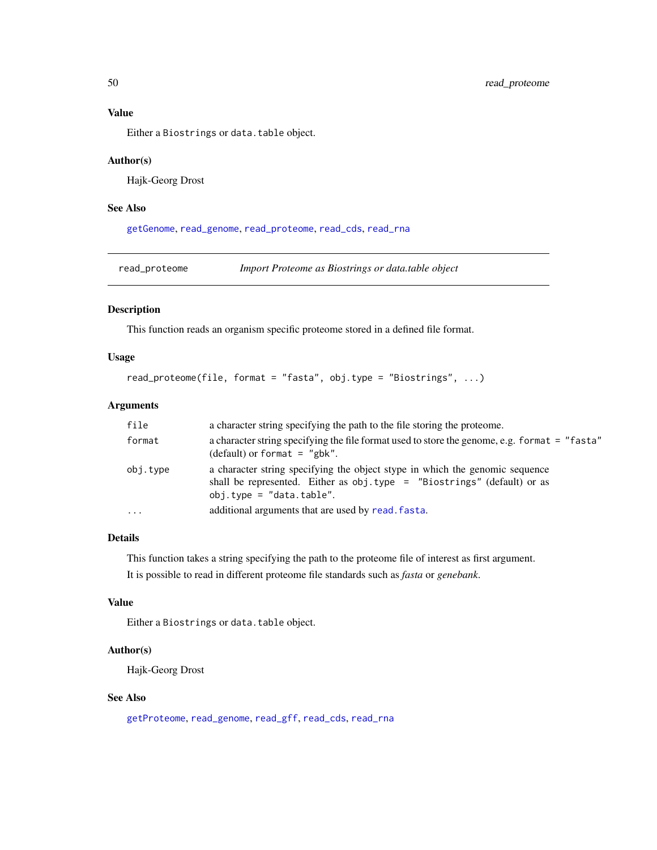<span id="page-49-0"></span>Value

Either a Biostrings or data.table object.

#### Author(s)

Hajk-Georg Drost

# See Also

[getGenome](#page-14-1), [read\\_genome](#page-47-1), [read\\_proteome](#page-49-1), [read\\_cds](#page-46-2), [read\\_rna](#page-50-2)

<span id="page-49-1"></span>read\_proteome *Import Proteome as Biostrings or data.table object*

# Description

This function reads an organism specific proteome stored in a defined file format.

# Usage

```
read_proteome(file, format = "fasta", obj.type = "Biostrings", ...)
```
# Arguments

| file     | a character string specifying the path to the file storing the proteome.                                                                                                                 |
|----------|------------------------------------------------------------------------------------------------------------------------------------------------------------------------------------------|
| format   | a character string specifying the file format used to store the genome, e.g. format = "fasta"<br>(default) or format $=$ "gbk".                                                          |
| obj.type | a character string specifying the object stype in which the genomic sequence<br>shall be represented. Either as $obj. type = "Biostrings" (default) or as$<br>$obj.type = "data.table".$ |
| $\cdots$ | additional arguments that are used by read. fasta.                                                                                                                                       |

# Details

This function takes a string specifying the path to the proteome file of interest as first argument. It is possible to read in different proteome file standards such as *fasta* or *genebank*.

# Value

Either a Biostrings or data.table object.

# Author(s)

Hajk-Georg Drost

# See Also

[getProteome](#page-25-1), [read\\_genome](#page-47-1), [read\\_gff](#page-48-1), [read\\_cds](#page-46-2), [read\\_rna](#page-50-2)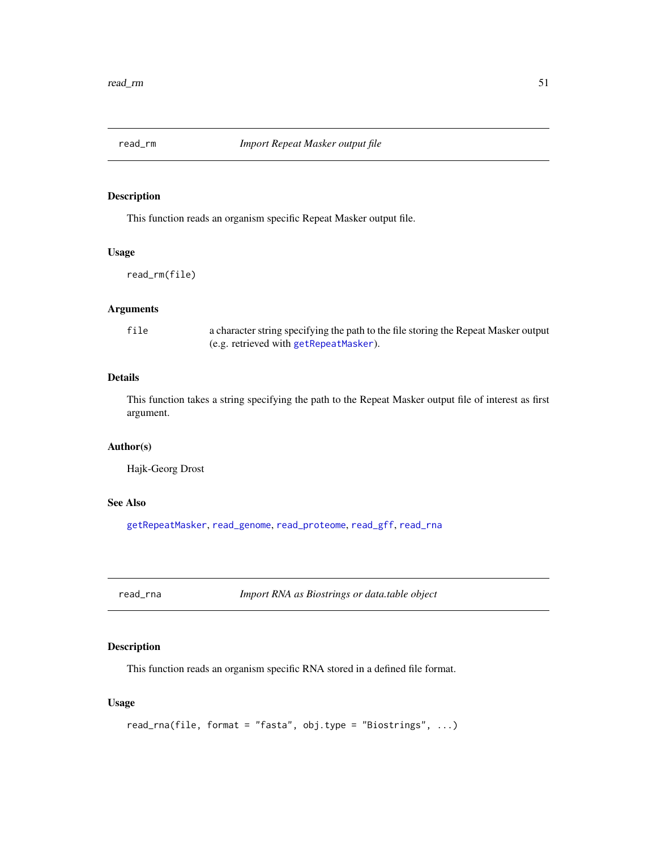<span id="page-50-1"></span><span id="page-50-0"></span>

This function reads an organism specific Repeat Masker output file.

#### Usage

read\_rm(file)

# Arguments

| file | a character string specifying the path to the file storing the Repeat Masker output |
|------|-------------------------------------------------------------------------------------|
|      | (e.g. retrieved with getRepeatMasker).                                              |

# Details

This function takes a string specifying the path to the Repeat Masker output file of interest as first argument.

# Author(s)

Hajk-Georg Drost

# See Also

[getRepeatMasker](#page-28-1), [read\\_genome](#page-47-1), [read\\_proteome](#page-49-1), [read\\_gff](#page-48-1), [read\\_rna](#page-50-2)

<span id="page-50-2"></span>read\_rna *Import RNA as Biostrings or data.table object*

# Description

This function reads an organism specific RNA stored in a defined file format.

# Usage

```
read_rna(file, format = "fasta", obj.type = "Biostrings", ...)
```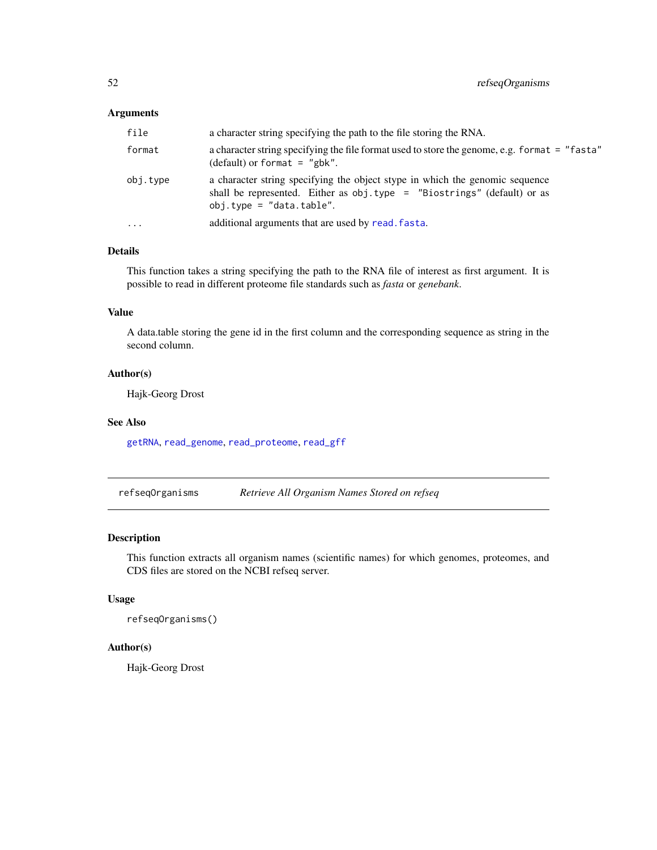# <span id="page-51-0"></span>Arguments

| file      | a character string specifying the path to the file storing the RNA.                                                                                                                      |
|-----------|------------------------------------------------------------------------------------------------------------------------------------------------------------------------------------------|
| format    | a character string specifying the file format used to store the genome, e.g. format = "fasta"<br>(default) or format = $"g$ bk".                                                         |
| obj.tvpe  | a character string specifying the object stype in which the genomic sequence<br>shall be represented. Either as $obj. type = "Biostrings" (default) or as$<br>$obj.type = "data.table".$ |
| $\ddotsc$ | additional arguments that are used by read. fasta.                                                                                                                                       |

# Details

This function takes a string specifying the path to the RNA file of interest as first argument. It is possible to read in different proteome file standards such as *fasta* or *genebank*.

# Value

A data.table storing the gene id in the first column and the corresponding sequence as string in the second column.

#### Author(s)

Hajk-Georg Drost

### See Also

[getRNA](#page-29-1), [read\\_genome](#page-47-1), [read\\_proteome](#page-49-1), [read\\_gff](#page-48-1)

refseqOrganisms *Retrieve All Organism Names Stored on refseq*

# Description

This function extracts all organism names (scientific names) for which genomes, proteomes, and CDS files are stored on the NCBI refseq server.

# Usage

refseqOrganisms()

#### Author(s)

Hajk-Georg Drost